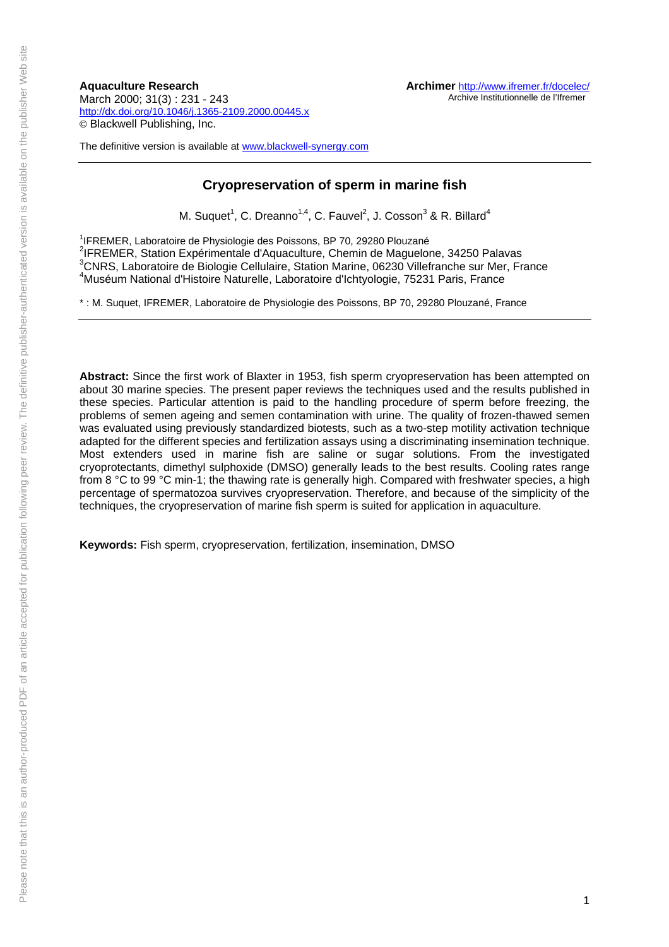**Aquaculture Research** March 2000; 31(3) : 231 - 243 http://dx.doi.org/10.1046/j.1365-2109.2000.00445.x © Blackwell Publishing, Inc.

The definitive version is available at www.blackwell-synergy.com

# **Cryopreservation of sperm in marine fish**

M. Suquet<sup>1</sup>, C. Dreanno<sup>1,4</sup>, C. Fauvel<sup>2</sup>, J. Cosson<sup>3</sup> & R. Billard<sup>4</sup>

<sup>1</sup>IFREMER, Laboratoire de Physiologie des Poissons, BP 70, 29280 Plouzané 2 IFREMER, Station Expérimentale d'Aquaculture, Chemin de Maguelone, 34250 Palavas <sup>3</sup>CNRS, Laboratoire de Biologie Cellulaire, Station Marine, 06230 Villefranche sur Mer, France 4 Muséum National d'Histoire Naturelle, Laboratoire d'Ichtyologie, 75231 Paris, France

\* : M. Suquet, IFREMER, Laboratoire de Physiologie des Poissons, BP 70, 29280 Plouzané, France

**Abstract:** Since the first work of Blaxter in 1953, fish sperm cryopreservation has been attempted on about 30 marine species. The present paper reviews the techniques used and the results published in these species. Particular attention is paid to the handling procedure of sperm before freezing, the problems of semen ageing and semen contamination with urine. The quality of frozen-thawed semen was evaluated using previously standardized biotests, such as a two-step motility activation technique adapted for the different species and fertilization assays using a discriminating insemination technique. Most extenders used in marine fish are saline or sugar solutions. From the investigated cryoprotectants, dimethyl sulphoxide (DMSO) generally leads to the best results. Cooling rates range from 8 °C to 99 °C min-1; the thawing rate is generally high. Compared with freshwater species, a high percentage of spermatozoa survives cryopreservation. Therefore, and because of the simplicity of the techniques, the cryopreservation of marine fish sperm is suited for application in aquaculture.

**Keywords:** Fish sperm, cryopreservation, fertilization, insemination, DMSO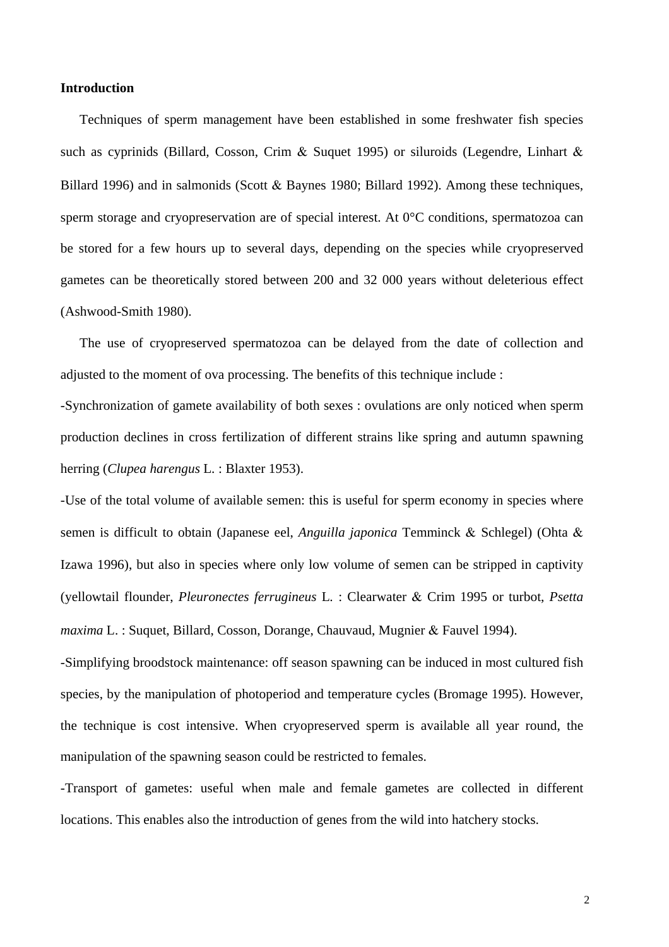### **Introduction**

 Techniques of sperm management have been established in some freshwater fish species such as cyprinids (Billard*,* Cosson, Crim & Suquet 1995) or siluroids (Legendre, Linhart & Billard 1996) and in salmonids (Scott & Baynes 1980; Billard 1992). Among these techniques, sperm storage and cryopreservation are of special interest. At 0<sup>o</sup>C conditions, spermatozoa can be stored for a few hours up to several days, depending on the species while cryopreserved gametes can be theoretically stored between 200 and 32 000 years without deleterious effect (Ashwood-Smith 1980).

 The use of cryopreserved spermatozoa can be delayed from the date of collection and adjusted to the moment of ova processing. The benefits of this technique include :

-Synchronization of gamete availability of both sexes : ovulations are only noticed when sperm production declines in cross fertilization of different strains like spring and autumn spawning herring (*Clupea harengus* L*.* : Blaxter 1953).

-Use of the total volume of available semen: this is useful for sperm economy in species where semen is difficult to obtain (Japanese eel, *Anguilla japonica* Temminck & Schlegel) (Ohta & Izawa 1996), but also in species where only low volume of semen can be stripped in captivity (yellowtail flounder, *Pleuronectes ferrugineus* L*.* : Clearwater & Crim 1995 or turbot, *Psetta maxima* L. : Suquet, Billard, Cosson, Dorange, Chauvaud, Mugnier & Fauvel 1994).

-Simplifying broodstock maintenance: off season spawning can be induced in most cultured fish species, by the manipulation of photoperiod and temperature cycles (Bromage 1995). However, the technique is cost intensive. When cryopreserved sperm is available all year round, the manipulation of the spawning season could be restricted to females.

-Transport of gametes: useful when male and female gametes are collected in different locations. This enables also the introduction of genes from the wild into hatchery stocks.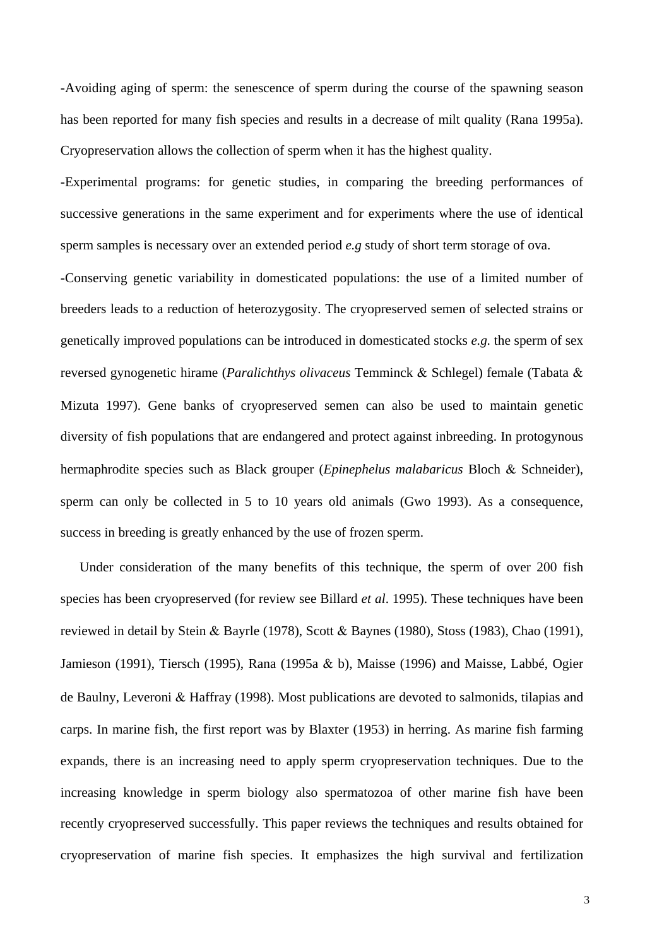-Avoiding aging of sperm: the senescence of sperm during the course of the spawning season has been reported for many fish species and results in a decrease of milt quality (Rana 1995a). Cryopreservation allows the collection of sperm when it has the highest quality.

-Experimental programs: for genetic studies, in comparing the breeding performances of successive generations in the same experiment and for experiments where the use of identical sperm samples is necessary over an extended period *e.g* study of short term storage of ova.

-Conserving genetic variability in domesticated populations: the use of a limited number of breeders leads to a reduction of heterozygosity. The cryopreserved semen of selected strains or genetically improved populations can be introduced in domesticated stocks *e.g.* the sperm of sex reversed gynogenetic hirame (*Paralichthys olivaceus* Temminck & Schlegel) female (Tabata & Mizuta 1997). Gene banks of cryopreserved semen can also be used to maintain genetic diversity of fish populations that are endangered and protect against inbreeding. In protogynous hermaphrodite species such as Black grouper (*Epinephelus malabaricus* Bloch & Schneider), sperm can only be collected in 5 to 10 years old animals (Gwo 1993). As a consequence, success in breeding is greatly enhanced by the use of frozen sperm.

 Under consideration of the many benefits of this technique, the sperm of over 200 fish species has been cryopreserved (for review see Billard *et al*. 1995). These techniques have been reviewed in detail by Stein & Bayrle (1978), Scott & Baynes (1980), Stoss (1983), Chao (1991), Jamieson (1991), Tiersch (1995), Rana (1995a & b), Maisse (1996) and Maisse, Labbé, Ogier de Baulny, Leveroni & Haffray (1998). Most publications are devoted to salmonids, tilapias and carps. In marine fish, the first report was by Blaxter (1953) in herring. As marine fish farming expands, there is an increasing need to apply sperm cryopreservation techniques. Due to the increasing knowledge in sperm biology also spermatozoa of other marine fish have been recently cryopreserved successfully. This paper reviews the techniques and results obtained for cryopreservation of marine fish species. It emphasizes the high survival and fertilization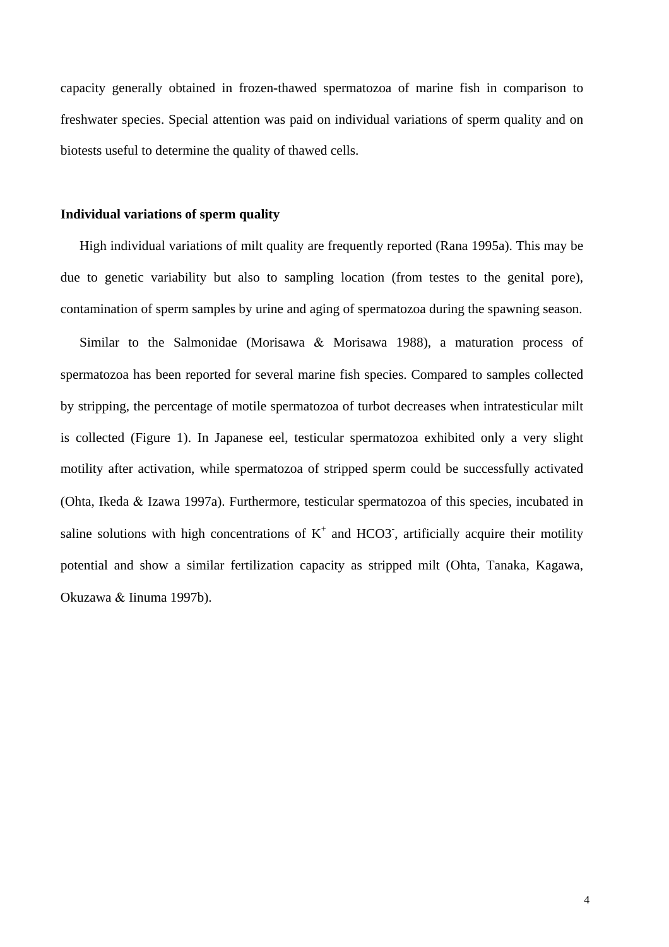capacity generally obtained in frozen-thawed spermatozoa of marine fish in comparison to freshwater species. Special attention was paid on individual variations of sperm quality and on biotests useful to determine the quality of thawed cells.

### **Individual variations of sperm quality**

 High individual variations of milt quality are frequently reported (Rana 1995a). This may be due to genetic variability but also to sampling location (from testes to the genital pore), contamination of sperm samples by urine and aging of spermatozoa during the spawning season.

 Similar to the Salmonidae (Morisawa & Morisawa 1988), a maturation process of spermatozoa has been reported for several marine fish species. Compared to samples collected by stripping, the percentage of motile spermatozoa of turbot decreases when intratesticular milt is collected (Figure 1). In Japanese eel, testicular spermatozoa exhibited only a very slight motility after activation, while spermatozoa of stripped sperm could be successfully activated (Ohta, Ikeda & Izawa 1997a). Furthermore, testicular spermatozoa of this species, incubated in saline solutions with high concentrations of  $K^+$  and HCO3, artificially acquire their motility potential and show a similar fertilization capacity as stripped milt (Ohta, Tanaka, Kagawa, Okuzawa & Iinuma 1997b).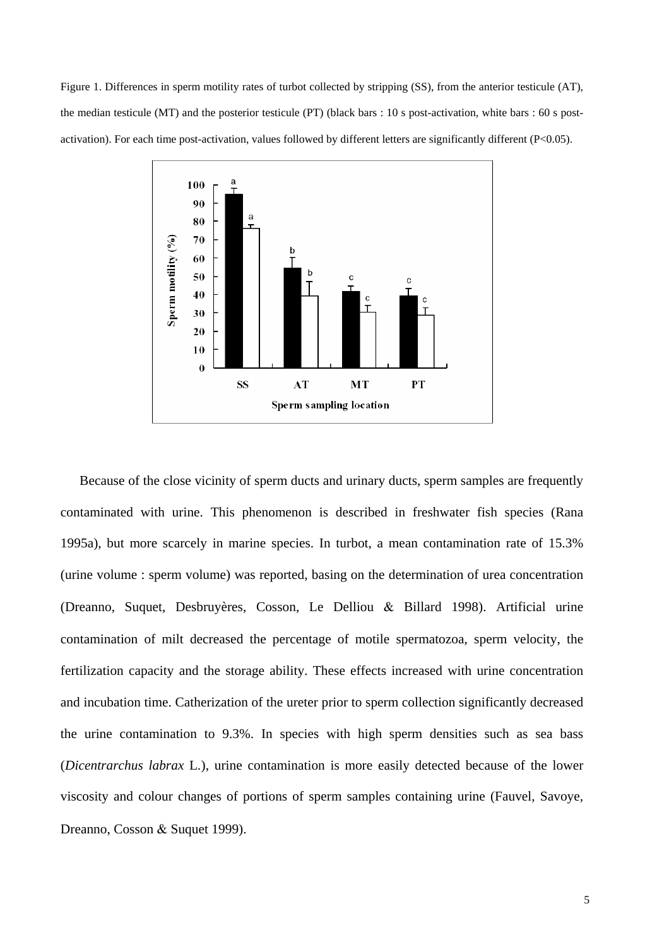Figure 1. Differences in sperm motility rates of turbot collected by stripping (SS), from the anterior testicule (AT), the median testicule (MT) and the posterior testicule (PT) (black bars : 10 s post-activation, white bars : 60 s postactivation). For each time post-activation, values followed by different letters are significantly different (P<0.05).



 Because of the close vicinity of sperm ducts and urinary ducts, sperm samples are frequently contaminated with urine. This phenomenon is described in freshwater fish species (Rana 1995a), but more scarcely in marine species. In turbot, a mean contamination rate of 15.3% (urine volume : sperm volume) was reported, basing on the determination of urea concentration (Dreanno, Suquet, Desbruyères, Cosson, Le Delliou & Billard 1998). Artificial urine contamination of milt decreased the percentage of motile spermatozoa, sperm velocity, the fertilization capacity and the storage ability. These effects increased with urine concentration and incubation time. Catherization of the ureter prior to sperm collection significantly decreased the urine contamination to 9.3%. In species with high sperm densities such as sea bass (*Dicentrarchus labrax* L*.*), urine contamination is more easily detected because of the lower viscosity and colour changes of portions of sperm samples containing urine (Fauvel, Savoye, Dreanno, Cosson & Suquet 1999).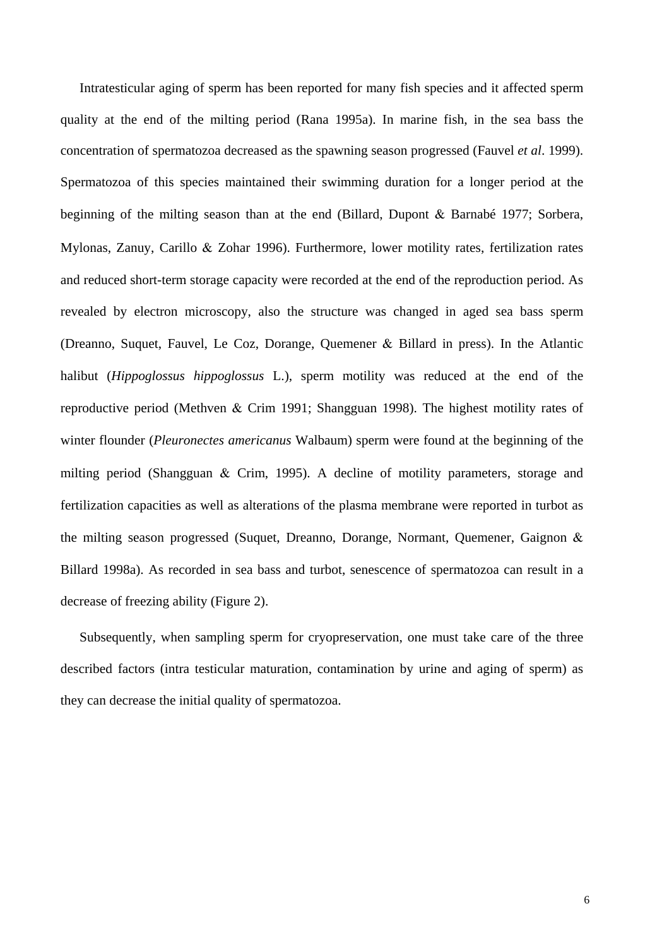Intratesticular aging of sperm has been reported for many fish species and it affected sperm quality at the end of the milting period (Rana 1995a). In marine fish, in the sea bass the concentration of spermatozoa decreased as the spawning season progressed (Fauvel *et al*. 1999). Spermatozoa of this species maintained their swimming duration for a longer period at the beginning of the milting season than at the end (Billard, Dupont & Barnabé 1977; Sorbera, Mylonas, Zanuy, Carillo & Zohar 1996). Furthermore, lower motility rates, fertilization rates and reduced short-term storage capacity were recorded at the end of the reproduction period. As revealed by electron microscopy, also the structure was changed in aged sea bass sperm (Dreanno, Suquet, Fauvel, Le Coz, Dorange, Quemener & Billard in press). In the Atlantic halibut (*Hippoglossus hippoglossus* L.), sperm motility was reduced at the end of the reproductive period (Methven & Crim 1991; Shangguan 1998). The highest motility rates of winter flounder (*Pleuronectes americanus* Walbaum) sperm were found at the beginning of the milting period (Shangguan & Crim, 1995). A decline of motility parameters, storage and fertilization capacities as well as alterations of the plasma membrane were reported in turbot as the milting season progressed (Suquet, Dreanno, Dorange, Normant, Quemener, Gaignon & Billard 1998a). As recorded in sea bass and turbot, senescence of spermatozoa can result in a decrease of freezing ability (Figure 2).

 Subsequently, when sampling sperm for cryopreservation, one must take care of the three described factors (intra testicular maturation, contamination by urine and aging of sperm) as they can decrease the initial quality of spermatozoa.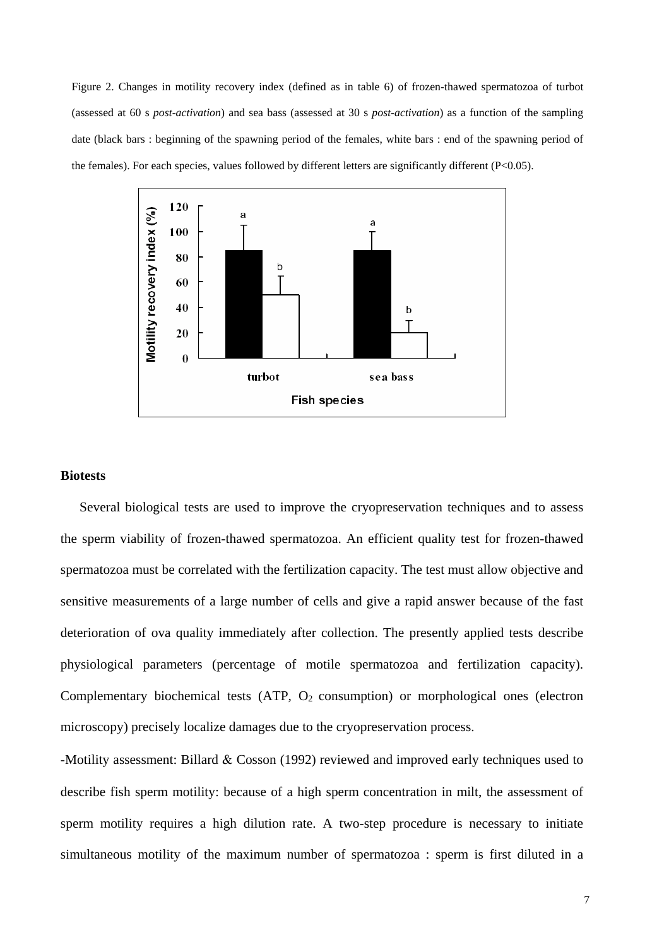Figure 2. Changes in motility recovery index (defined as in table 6) of frozen-thawed spermatozoa of turbot (assessed at 60 s *post-activation*) and sea bass (assessed at 30 s *post-activation*) as a function of the sampling date (black bars : beginning of the spawning period of the females, white bars : end of the spawning period of the females). For each species, values followed by different letters are significantly different (P<0.05).



## **Biotests**

 Several biological tests are used to improve the cryopreservation techniques and to assess the sperm viability of frozen-thawed spermatozoa. An efficient quality test for frozen-thawed spermatozoa must be correlated with the fertilization capacity. The test must allow objective and sensitive measurements of a large number of cells and give a rapid answer because of the fast deterioration of ova quality immediately after collection. The presently applied tests describe physiological parameters (percentage of motile spermatozoa and fertilization capacity). Complementary biochemical tests (ATP,  $O_2$  consumption) or morphological ones (electron microscopy) precisely localize damages due to the cryopreservation process.

-Motility assessment: Billard & Cosson (1992) reviewed and improved early techniques used to describe fish sperm motility: because of a high sperm concentration in milt, the assessment of sperm motility requires a high dilution rate. A two-step procedure is necessary to initiate simultaneous motility of the maximum number of spermatozoa : sperm is first diluted in a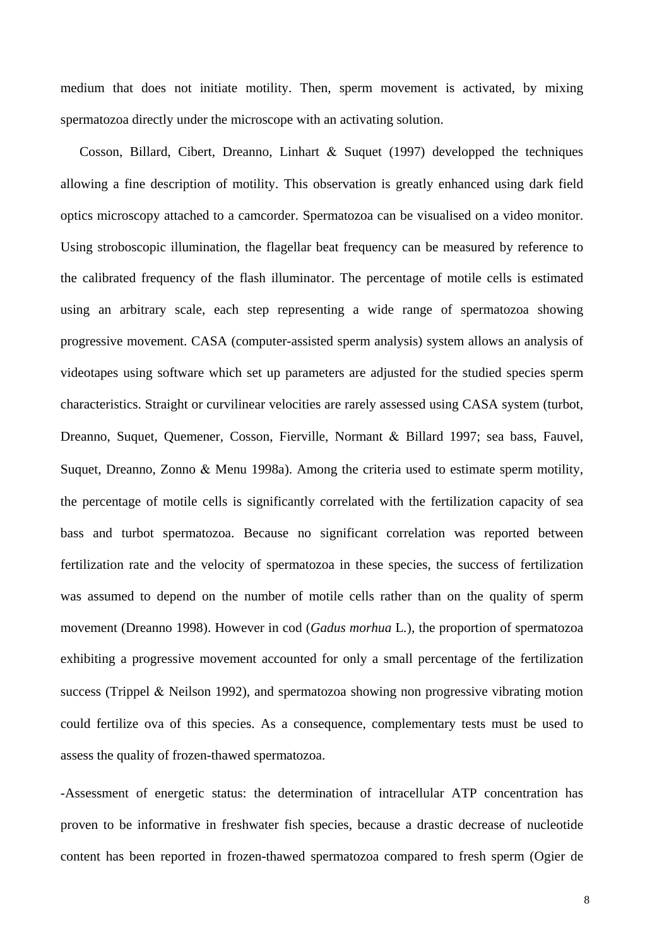medium that does not initiate motility. Then, sperm movement is activated, by mixing spermatozoa directly under the microscope with an activating solution.

 Cosson*,* Billard, Cibert, Dreanno, Linhart & Suquet (1997) developped the techniques allowing a fine description of motility. This observation is greatly enhanced using dark field optics microscopy attached to a camcorder. Spermatozoa can be visualised on a video monitor. Using stroboscopic illumination, the flagellar beat frequency can be measured by reference to the calibrated frequency of the flash illuminator. The percentage of motile cells is estimated using an arbitrary scale, each step representing a wide range of spermatozoa showing progressive movement. CASA (computer-assisted sperm analysis) system allows an analysis of videotapes using software which set up parameters are adjusted for the studied species sperm characteristics. Straight or curvilinear velocities are rarely assessed using CASA system (turbot, Dreanno, Suquet, Quemener, Cosson, Fierville, Normant & Billard 1997; sea bass, Fauvel, Suquet, Dreanno, Zonno & Menu 1998a). Among the criteria used to estimate sperm motility, the percentage of motile cells is significantly correlated with the fertilization capacity of sea bass and turbot spermatozoa. Because no significant correlation was reported between fertilization rate and the velocity of spermatozoa in these species, the success of fertilization was assumed to depend on the number of motile cells rather than on the quality of sperm movement (Dreanno 1998). However in cod (*Gadus morhua* L*.*)*,* the proportion of spermatozoa exhibiting a progressive movement accounted for only a small percentage of the fertilization success (Trippel & Neilson 1992), and spermatozoa showing non progressive vibrating motion could fertilize ova of this species. As a consequence, complementary tests must be used to assess the quality of frozen-thawed spermatozoa.

-Assessment of energetic status: the determination of intracellular ATP concentration has proven to be informative in freshwater fish species, because a drastic decrease of nucleotide content has been reported in frozen-thawed spermatozoa compared to fresh sperm (Ogier de

8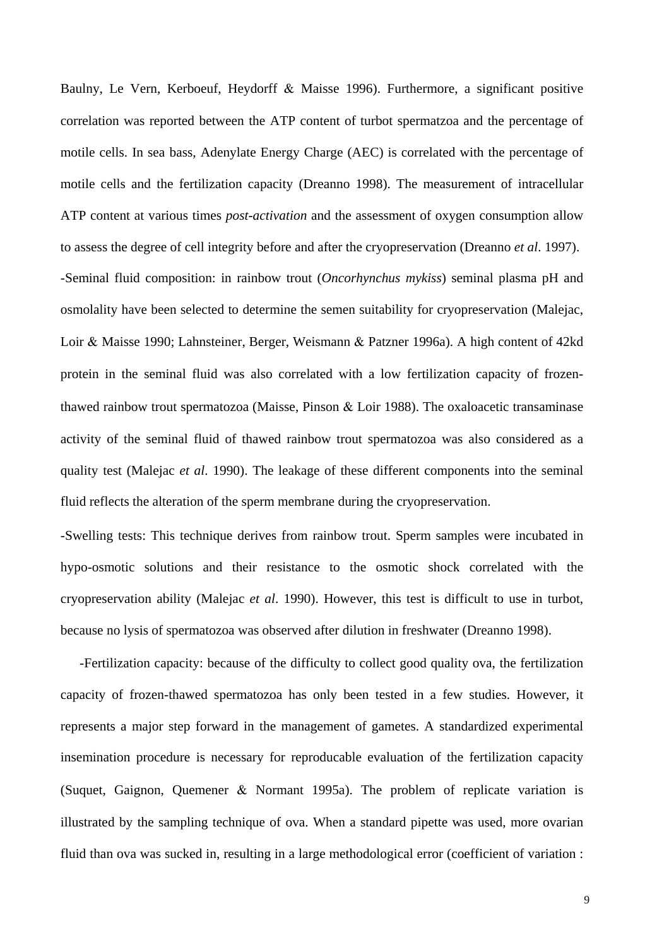Baulny, Le Vern, Kerboeuf, Heydorff & Maisse 1996). Furthermore, a significant positive correlation was reported between the ATP content of turbot spermatzoa and the percentage of motile cells. In sea bass, Adenylate Energy Charge (AEC) is correlated with the percentage of motile cells and the fertilization capacity (Dreanno 1998). The measurement of intracellular ATP content at various times *post-activation* and the assessment of oxygen consumption allow to assess the degree of cell integrity before and after the cryopreservation (Dreanno *et al*. 1997). -Seminal fluid composition: in rainbow trout (*Oncorhynchus mykiss*) seminal plasma pH and osmolality have been selected to determine the semen suitability for cryopreservation (Malejac, Loir & Maisse 1990; Lahnsteiner, Berger, Weismann & Patzner 1996a). A high content of 42kd protein in the seminal fluid was also correlated with a low fertilization capacity of frozenthawed rainbow trout spermatozoa (Maisse, Pinson & Loir 1988). The oxaloacetic transaminase activity of the seminal fluid of thawed rainbow trout spermatozoa was also considered as a quality test (Malejac *et al*. 1990). The leakage of these different components into the seminal fluid reflects the alteration of the sperm membrane during the cryopreservation.

-Swelling tests: This technique derives from rainbow trout. Sperm samples were incubated in hypo-osmotic solutions and their resistance to the osmotic shock correlated with the cryopreservation ability (Malejac *et al*. 1990). However, this test is difficult to use in turbot, because no lysis of spermatozoa was observed after dilution in freshwater (Dreanno 1998).

 -Fertilization capacity: because of the difficulty to collect good quality ova, the fertilization capacity of frozen-thawed spermatozoa has only been tested in a few studies. However, it represents a major step forward in the management of gametes. A standardized experimental insemination procedure is necessary for reproducable evaluation of the fertilization capacity (Suquet, Gaignon, Quemener & Normant 1995a). The problem of replicate variation is illustrated by the sampling technique of ova. When a standard pipette was used, more ovarian fluid than ova was sucked in, resulting in a large methodological error (coefficient of variation :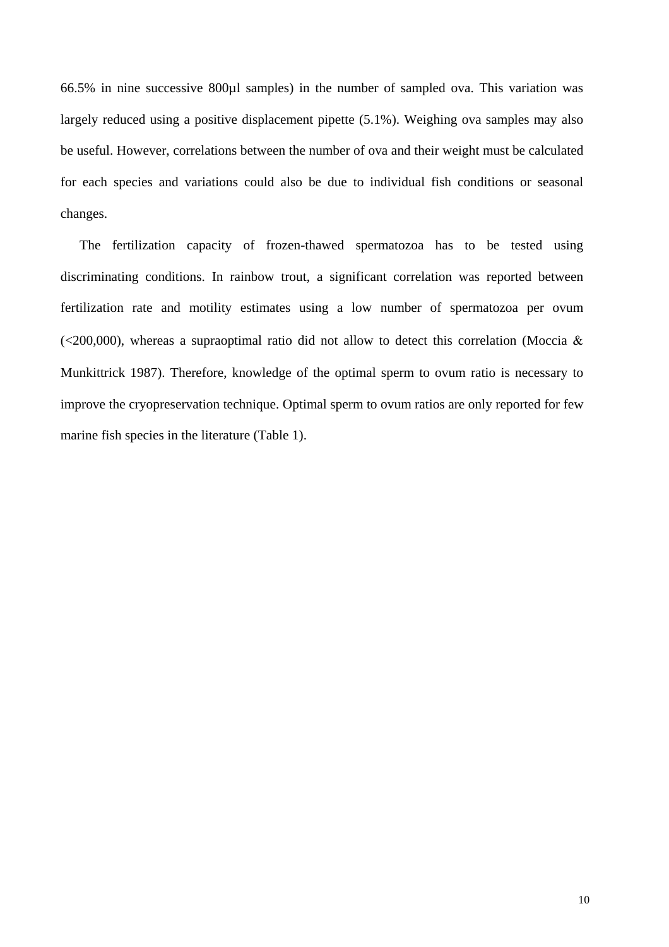66.5% in nine successive 800µl samples) in the number of sampled ova. This variation was largely reduced using a positive displacement pipette (5.1%). Weighing ova samples may also be useful. However, correlations between the number of ova and their weight must be calculated for each species and variations could also be due to individual fish conditions or seasonal changes.

 The fertilization capacity of frozen-thawed spermatozoa has to be tested using discriminating conditions. In rainbow trout, a significant correlation was reported between fertilization rate and motility estimates using a low number of spermatozoa per ovum  $\langle$  <200,000), whereas a supraoptimal ratio did not allow to detect this correlation (Moccia & Munkittrick 1987). Therefore, knowledge of the optimal sperm to ovum ratio is necessary to improve the cryopreservation technique. Optimal sperm to ovum ratios are only reported for few marine fish species in the literature (Table 1).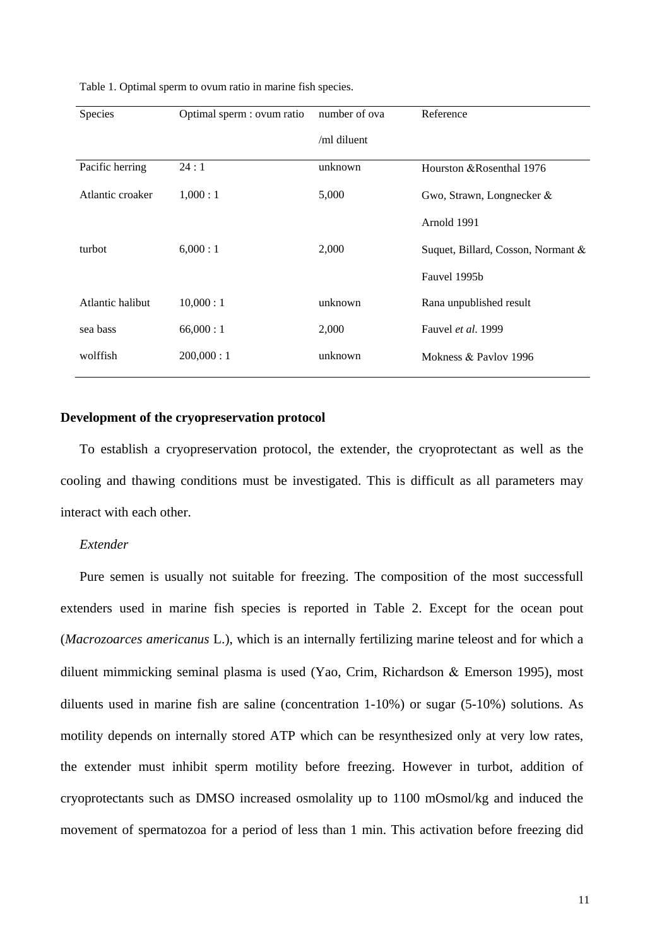| Table 1. Optimal sperm to ovum ratio in marine fish species. |  |
|--------------------------------------------------------------|--|
|--------------------------------------------------------------|--|

| Species          | Optimal sperm : ovum ratio | number of ova | Reference                          |
|------------------|----------------------------|---------------|------------------------------------|
|                  |                            | /ml diluent   |                                    |
| Pacific herring  | 24:1                       | unknown       | Hourston & Rosenthal 1976          |
| Atlantic croaker | 1,000:1                    | 5,000         | Gwo, Strawn, Longnecker $\&$       |
|                  |                            |               | Arnold 1991                        |
| turbot           | 6,000:1                    | 2,000         | Suquet, Billard, Cosson, Normant & |
|                  |                            |               | Fauvel 1995b                       |
| Atlantic halibut | 10,000:1                   | unknown       | Rana unpublished result            |
| sea bass         | 66,000:1                   | 2,000         | Fauvel et al. 1999                 |
| wolffish         | 200,000:1                  | unknown       | Mokness & Paylov 1996              |

### **Development of the cryopreservation protocol**

 To establish a cryopreservation protocol, the extender, the cryoprotectant as well as the cooling and thawing conditions must be investigated. This is difficult as all parameters may interact with each other.

## *Extender*

 Pure semen is usually not suitable for freezing. The composition of the most successfull extenders used in marine fish species is reported in Table 2. Except for the ocean pout (*Macrozoarces americanus* L.), which is an internally fertilizing marine teleost and for which a diluent mimmicking seminal plasma is used (Yao, Crim, Richardson & Emerson 1995), most diluents used in marine fish are saline (concentration 1-10%) or sugar (5-10%) solutions. As motility depends on internally stored ATP which can be resynthesized only at very low rates, the extender must inhibit sperm motility before freezing. However in turbot, addition of cryoprotectants such as DMSO increased osmolality up to 1100 mOsmol/kg and induced the movement of spermatozoa for a period of less than 1 min. This activation before freezing did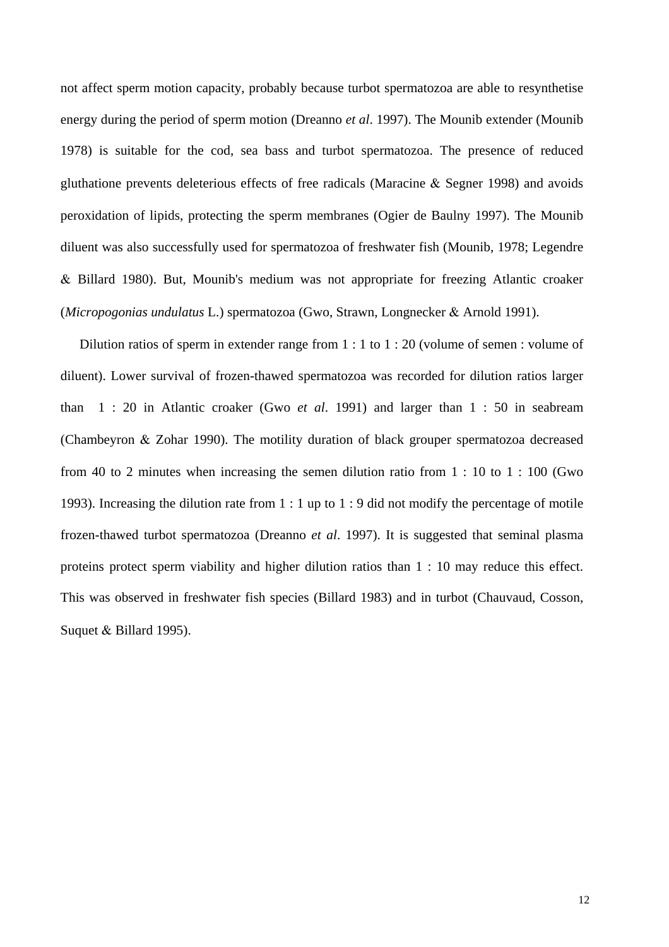not affect sperm motion capacity, probably because turbot spermatozoa are able to resynthetise energy during the period of sperm motion (Dreanno *et al*. 1997). The Mounib extender (Mounib 1978) is suitable for the cod, sea bass and turbot spermatozoa. The presence of reduced gluthatione prevents deleterious effects of free radicals (Maracine & Segner 1998) and avoids peroxidation of lipids, protecting the sperm membranes (Ogier de Baulny 1997). The Mounib diluent was also successfully used for spermatozoa of freshwater fish (Mounib, 1978; Legendre & Billard 1980). But, Mounib's medium was not appropriate for freezing Atlantic croaker (*Micropogonias undulatus* L.) spermatozoa (Gwo, Strawn, Longnecker & Arnold 1991).

This was observed in freshwater fish species (Billard 1983) and in turbot (Chauvaud, Cosson, Suquet  $&$  Billard 1995). Dilution ratios of sperm in extender range from 1 : 1 to 1 : 20 (volume of semen : volume of diluent). Lower survival of frozen-thawed spermatozoa was recorded for dilution ratios larger than 1 : 20 in Atlantic croaker (Gwo *et al*. 1991) and larger than 1 : 50 in seabream (Chambeyron & Zohar 1990). The motility duration of black grouper spermatozoa decreased from 40 to 2 minutes when increasing the semen dilution ratio from 1 : 10 to 1 : 100 (Gwo 1993). Increasing the dilution rate from 1 : 1 up to 1 : 9 did not modify the percentage of motile frozen-thawed turbot spermatozoa (Dreanno *et al*. 1997). It is suggested that seminal plasma proteins protect sperm viability and higher dilution ratios than 1 : 10 may reduce this effect.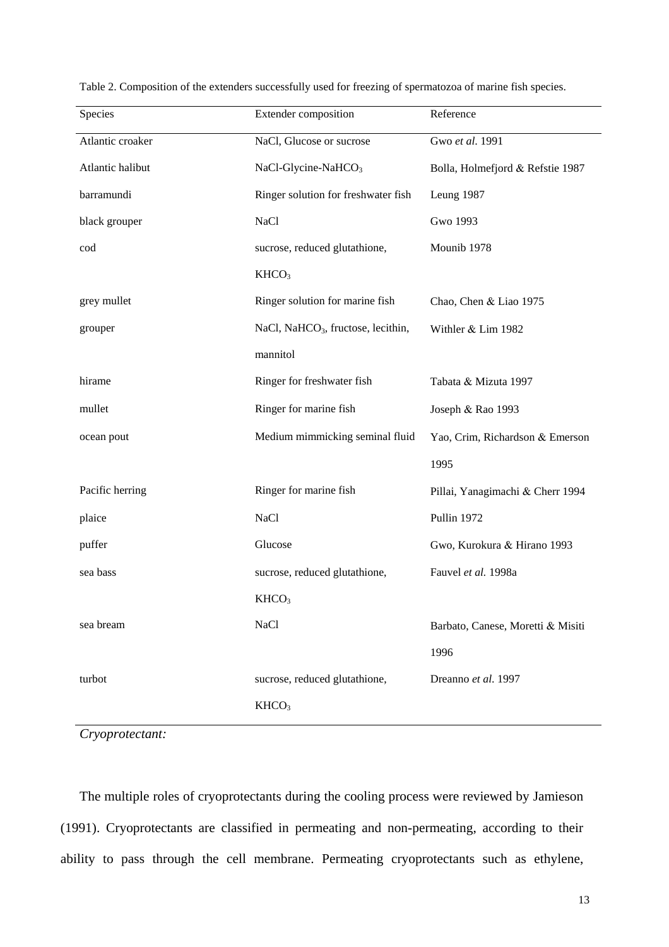| Species          | Extender composition                           | Reference                         |
|------------------|------------------------------------------------|-----------------------------------|
| Atlantic croaker | NaCl, Glucose or sucrose                       | Gwo et al. 1991                   |
| Atlantic halibut | NaCl-Glycine-NaHCO <sub>3</sub>                | Bolla, Holmefjord & Refstie 1987  |
| barramundi       | Ringer solution for freshwater fish            | Leung 1987                        |
| black grouper    | <b>NaCl</b>                                    | Gwo 1993                          |
| cod              | sucrose, reduced glutathione,                  | Mounib 1978                       |
|                  | KHCO <sub>3</sub>                              |                                   |
| grey mullet      | Ringer solution for marine fish                | Chao, Chen & Liao 1975            |
| grouper          | NaCl, NaHCO <sub>3</sub> , fructose, lecithin, | Withler & Lim 1982                |
|                  | mannitol                                       |                                   |
| hirame           | Ringer for freshwater fish                     | Tabata & Mizuta 1997              |
| mullet           | Ringer for marine fish                         | Joseph & Rao 1993                 |
| ocean pout       | Medium mimmicking seminal fluid                | Yao, Crim, Richardson & Emerson   |
|                  |                                                | 1995                              |
| Pacific herring  | Ringer for marine fish                         | Pillai, Yanagimachi & Cherr 1994  |
| plaice           | <b>NaCl</b>                                    | Pullin 1972                       |
| puffer           | Glucose                                        | Gwo, Kurokura & Hirano 1993       |
| sea bass         | sucrose, reduced glutathione,                  | Fauvel et al. 1998a               |
|                  | KHCO <sub>3</sub>                              |                                   |
| sea bream        | <b>NaCl</b>                                    | Barbato, Canese, Moretti & Misiti |
|                  |                                                | 1996                              |
| turbot           | sucrose, reduced glutathione,                  | Dreanno et al. 1997               |
|                  | KHCO <sub>3</sub>                              |                                   |

Table 2. Composition of the extenders successfully used for freezing of spermatozoa of marine fish species.

*Cryoprotectant:* 

The multiple roles of cryoprotectants during the cooling process were reviewed by Jamieson (1991). Cryoprotectants are classified in permeating and non-permeating, according to their ability to pass through the cell membrane. Permeating cryoprotectants such as ethylene,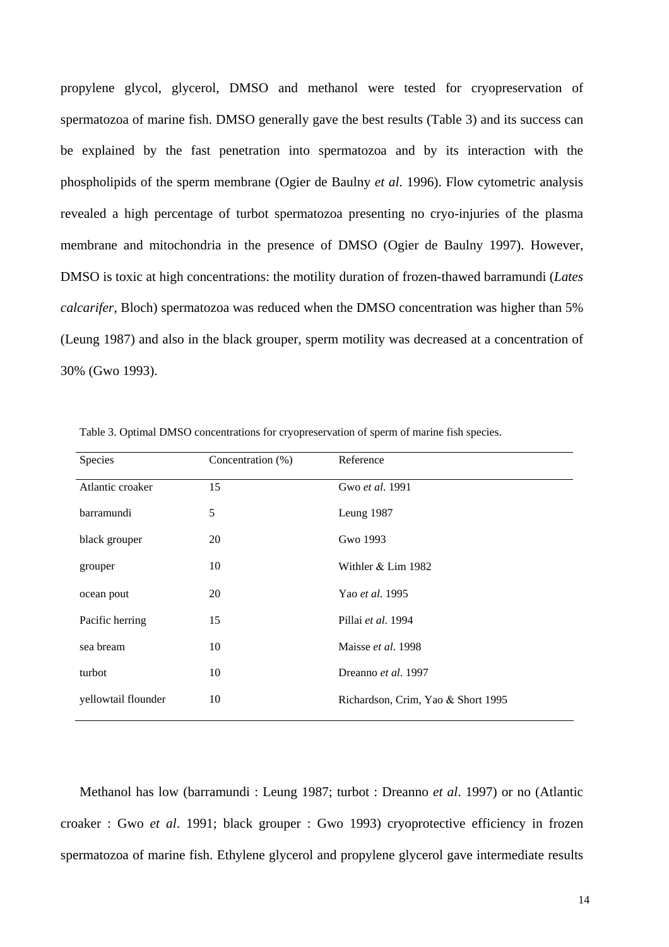propylene glycol, glycerol, DMSO and methanol were tested for cryopreservation of spermatozoa of marine fish. DMSO generally gave the best results (Table 3) and its success can be explained by the fast penetration into spermatozoa and by its interaction with the phospholipids of the sperm membrane (Ogier de Baulny *et al*. 1996). Flow cytometric analysis revealed a high percentage of turbot spermatozoa presenting no cryo-injuries of the plasma membrane and mitochondria in the presence of DMSO (Ogier de Baulny 1997). However, DMSO is toxic at high concentrations: the motility duration of frozen-thawed barramundi (*Lates calcarifer*, Bloch) spermatozoa was reduced when the DMSO concentration was higher than 5% (Leung 1987) and also in the black grouper, sperm motility was decreased at a concentration of 30% (Gwo 1993).

| Species             | Concentration (%) | Reference                          |
|---------------------|-------------------|------------------------------------|
| Atlantic croaker    | 15                | Gwo et al. 1991                    |
| barramundi          | 5                 | Leung 1987                         |
| black grouper       | 20                | Gwo 1993                           |
| grouper             | 10                | Withler $& Lim 1982$               |
| ocean pout          | 20                | Yao et al. 1995                    |
| Pacific herring     | 15                | Pillai et al. 1994                 |
| sea bream           | 10                | Maisse et al. 1998                 |
| turbot              | 10                | Dreanno et al. 1997                |
| yellowtail flounder | 10                | Richardson, Crim, Yao & Short 1995 |

Table 3. Optimal DMSO concentrations for cryopreservation of sperm of marine fish species.

 Methanol has low (barramundi : Leung 1987; turbot : Dreanno *et al*. 1997) or no (Atlantic croaker : Gwo *et al*. 1991; black grouper : Gwo 1993) cryoprotective efficiency in frozen spermatozoa of marine fish. Ethylene glycerol and propylene glycerol gave intermediate results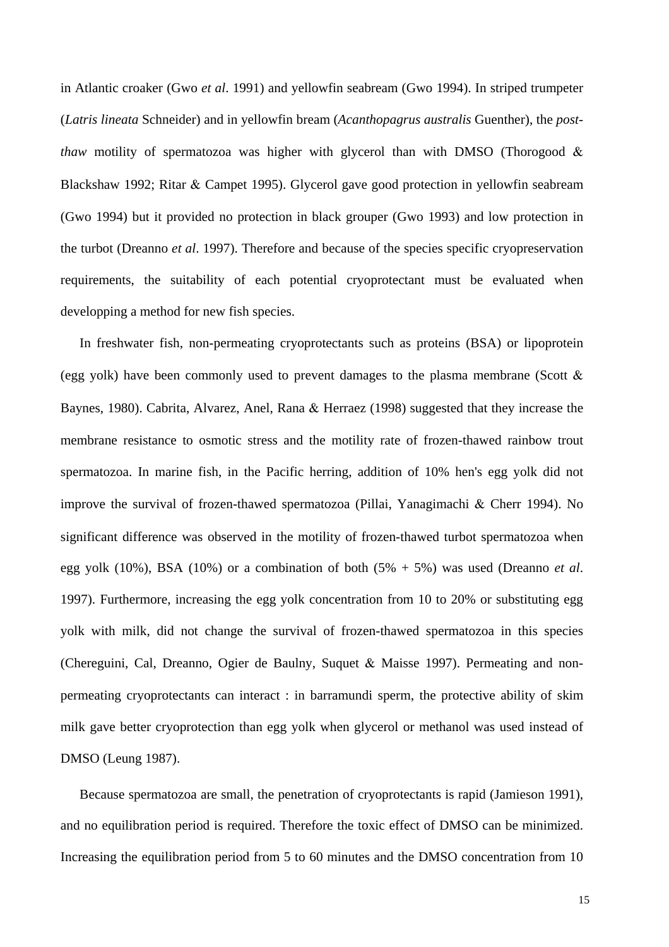in Atlantic croaker (Gwo *et al*. 1991) and yellowfin seabream (Gwo 1994). In striped trumpeter (*Latris lineata* Schneider) and in yellowfin bream (*Acanthopagrus australis* Guenther), the *postthaw* motility of spermatozoa was higher with glycerol than with DMSO (Thorogood & Blackshaw 1992; Ritar & Campet 1995). Glycerol gave good protection in yellowfin seabream (Gwo 1994) but it provided no protection in black grouper (Gwo 1993) and low protection in the turbot (Dreanno *et al*. 1997). Therefore and because of the species specific cryopreservation requirements, the suitability of each potential cryoprotectant must be evaluated when developping a method for new fish species.

 In freshwater fish, non-permeating cryoprotectants such as proteins (BSA) or lipoprotein (egg yolk) have been commonly used to prevent damages to the plasma membrane (Scott & Baynes, 1980). Cabrita, Alvarez, Anel, Rana & Herraez (1998) suggested that they increase the membrane resistance to osmotic stress and the motility rate of frozen-thawed rainbow trout spermatozoa. In marine fish, in the Pacific herring, addition of 10% hen's egg yolk did not improve the survival of frozen-thawed spermatozoa (Pillai, Yanagimachi & Cherr 1994). No significant difference was observed in the motility of frozen-thawed turbot spermatozoa when egg yolk (10%), BSA (10%) or a combination of both (5% + 5%) was used (Dreanno *et al*. 1997). Furthermore, increasing the egg yolk concentration from 10 to 20% or substituting egg yolk with milk, did not change the survival of frozen-thawed spermatozoa in this species (Chereguini, Cal, Dreanno, Ogier de Baulny, Suquet & Maisse 1997). Permeating and nonpermeating cryoprotectants can interact : in barramundi sperm, the protective ability of skim milk gave better cryoprotection than egg yolk when glycerol or methanol was used instead of DMSO (Leung 1987).

 Because spermatozoa are small, the penetration of cryoprotectants is rapid (Jamieson 1991), and no equilibration period is required. Therefore the toxic effect of DMSO can be minimized. Increasing the equilibration period from 5 to 60 minutes and the DMSO concentration from 10

15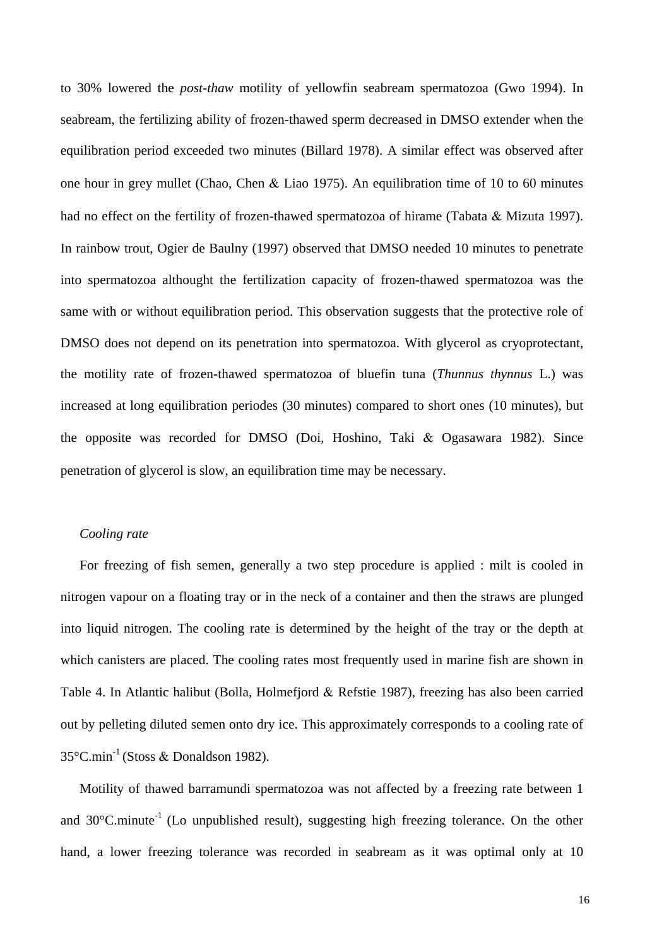to 30% lowered the *post*-*thaw* motility of yellowfin seabream spermatozoa (Gwo 1994). In seabream, the fertilizing ability of frozen-thawed sperm decreased in DMSO extender when the equilibration period exceeded two minutes (Billard 1978). A similar effect was observed after one hour in grey mullet (Chao, Chen & Liao 1975). An equilibration time of 10 to 60 minutes had no effect on the fertility of frozen-thawed spermatozoa of hirame (Tabata & Mizuta 1997). In rainbow trout, Ogier de Baulny (1997) observed that DMSO needed 10 minutes to penetrate into spermatozoa althought the fertilization capacity of frozen-thawed spermatozoa was the same with or without equilibration period. This observation suggests that the protective role of DMSO does not depend on its penetration into spermatozoa. With glycerol as cryoprotectant, the motility rate of frozen-thawed spermatozoa of bluefin tuna (*Thunnus thynnus* L.) was increased at long equilibration periodes (30 minutes) compared to short ones (10 minutes), but the opposite was recorded for DMSO (Doi, Hoshino, Taki & Ogasawara 1982). Since penetration of glycerol is slow, an equilibration time may be necessary.

#### *Cooling rate*

 For freezing of fish semen, generally a two step procedure is applied : milt is cooled in nitrogen vapour on a floating tray or in the neck of a container and then the straws are plunged into liquid nitrogen. The cooling rate is determined by the height of the tray or the depth at which canisters are placed. The cooling rates most frequently used in marine fish are shown in Table 4. In Atlantic halibut (Bolla, Holmefjord & Refstie 1987), freezing has also been carried out by pelleting diluted semen onto dry ice. This approximately corresponds to a cooling rate of 35°C.min-1 (Stoss & Donaldson 1982).

 Motility of thawed barramundi spermatozoa was not affected by a freezing rate between 1 and  $30^{\circ}$ C.minute<sup>-1</sup> (Lo unpublished result), suggesting high freezing tolerance. On the other hand, a lower freezing tolerance was recorded in seabream as it was optimal only at 10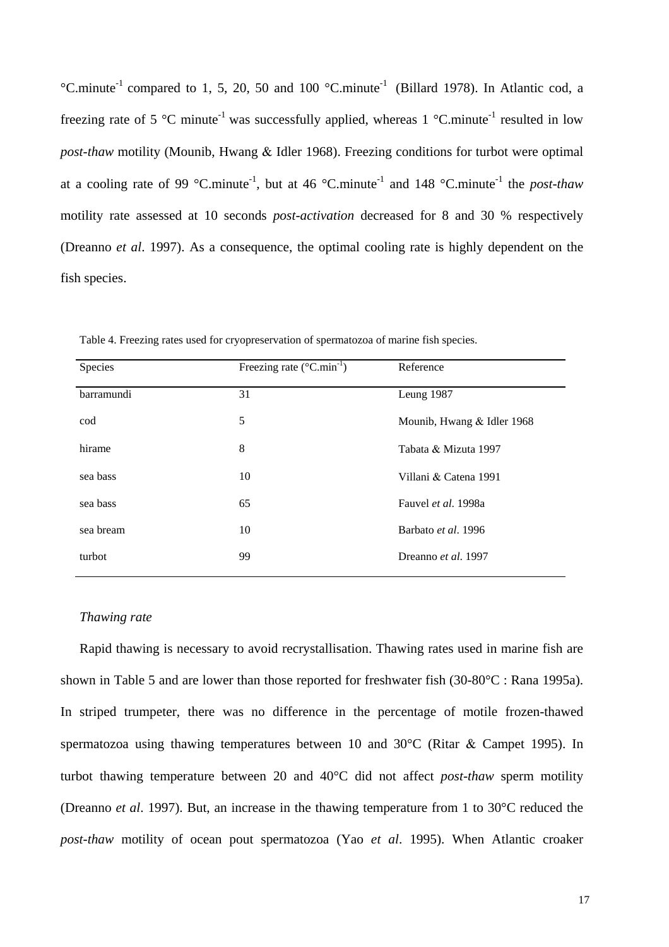°C.minute<sup>-1</sup> compared to 1, 5, 20, 50 and 100 °C.minute<sup>-1</sup> (Billard 1978). In Atlantic cod, a freezing rate of 5 °C minute<sup>-1</sup> was successfully applied, whereas 1 °C minute<sup>-1</sup> resulted in low *post*-*thaw* motility (Mounib, Hwang & Idler 1968). Freezing conditions for turbot were optimal at a cooling rate of 99 °C.minute<sup>-1</sup>, but at 46 °C.minute<sup>-1</sup> and 148 °C.minute<sup>-1</sup> the *post-thaw* motility rate assessed at 10 seconds *post-activation* decreased for 8 and 30 % respectively (Dreanno *et al*. 1997). As a consequence, the optimal cooling rate is highly dependent on the fish species.

| Species    | Freezing rate $(^{\circ}C.min^{-1})$ | Reference                  |
|------------|--------------------------------------|----------------------------|
| barramundi | 31                                   | Leung 1987                 |
| cod        | 5                                    | Mounib, Hwang & Idler 1968 |
| hirame     | 8                                    | Tabata & Mizuta 1997       |
| sea bass   | 10                                   | Villani & Catena 1991      |
| sea bass   | 65                                   | Fauvel et al. 1998a        |
| sea bream  | 10                                   | Barbato et al. 1996        |
| turbot     | 99                                   | Dreanno et al. 1997        |

Table 4. Freezing rates used for cryopreservation of spermatozoa of marine fish species.

## *Thawing rate*

 Rapid thawing is necessary to avoid recrystallisation. Thawing rates used in marine fish are shown in Table 5 and are lower than those reported for freshwater fish (30-80°C : Rana 1995a). In striped trumpeter, there was no difference in the percentage of motile frozen-thawed spermatozoa using thawing temperatures between 10 and 30°C (Ritar & Campet 1995). In turbot thawing temperature between 20 and 40°C did not affect *post-thaw* sperm motility (Dreanno *et al*. 1997). But, an increase in the thawing temperature from 1 to 30°C reduced the *post-thaw* motility of ocean pout spermatozoa (Yao *et al*. 1995). When Atlantic croaker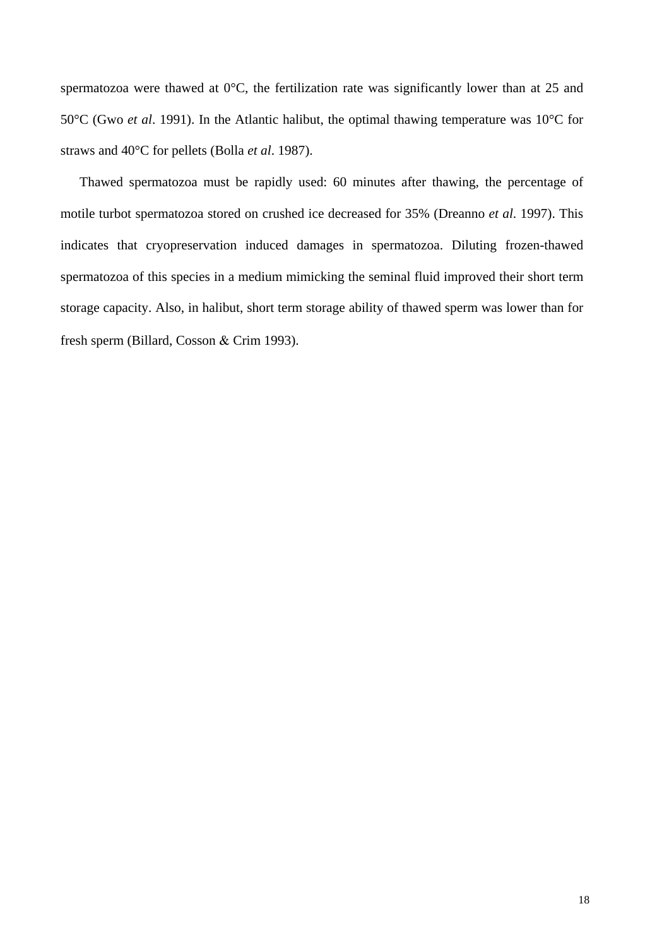spermatozoa were thawed at 0°C, the fertilization rate was significantly lower than at 25 and 50°C (Gwo *et al*. 1991). In the Atlantic halibut, the optimal thawing temperature was 10°C for straws and 40°C for pellets (Bolla *et al*. 1987).

 Thawed spermatozoa must be rapidly used: 60 minutes after thawing, the percentage of motile turbot spermatozoa stored on crushed ice decreased for 35% (Dreanno *et al*. 1997). This indicates that cryopreservation induced damages in spermatozoa. Diluting frozen-thawed spermatozoa of this species in a medium mimicking the seminal fluid improved their short term storage capacity. Also, in halibut, short term storage ability of thawed sperm was lower than for fresh sperm (Billard, Cosson & Crim 1993).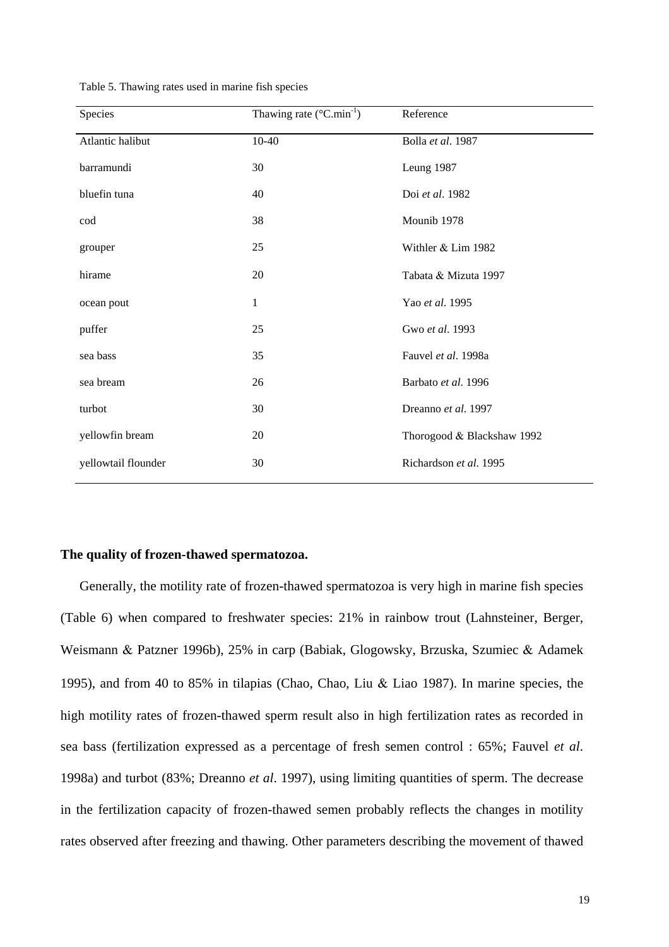| Species             | Thawing rate (°C.min <sup>-1</sup> ) | Reference                  |
|---------------------|--------------------------------------|----------------------------|
| Atlantic halibut    | $10 - 40$                            | Bolla et al. 1987          |
| barramundi          | 30                                   | Leung 1987                 |
| bluefin tuna        | 40                                   | Doi et al. 1982            |
| cod                 | 38                                   | Mounib 1978                |
| grouper             | 25                                   | Withler & Lim 1982         |
| hirame              | 20                                   | Tabata & Mizuta 1997       |
| ocean pout          | $\mathbf{1}$                         | Yao et al. 1995            |
| puffer              | 25                                   | Gwo et al. 1993            |
| sea bass            | 35                                   | Fauvel et al. 1998a        |
| sea bream           | 26                                   | Barbato et al. 1996        |
| turbot              | 30                                   | Dreanno et al. 1997        |
| yellowfin bream     | 20                                   | Thorogood & Blackshaw 1992 |
| yellowtail flounder | 30                                   | Richardson et al. 1995     |

Table 5. Thawing rates used in marine fish species

#### **The quality of frozen-thawed spermatozoa.**

 Generally, the motility rate of frozen-thawed spermatozoa is very high in marine fish species (Table 6) when compared to freshwater species: 21% in rainbow trout (Lahnsteiner, Berger, Weismann & Patzner 1996b), 25% in carp (Babiak, Glogowsky, Brzuska, Szumiec & Adamek 1995), and from 40 to 85% in tilapias (Chao, Chao, Liu & Liao 1987). In marine species, the high motility rates of frozen-thawed sperm result also in high fertilization rates as recorded in sea bass (fertilization expressed as a percentage of fresh semen control : 65%; Fauvel *et al*. 1998a) and turbot (83%; Dreanno *et al*. 1997), using limiting quantities of sperm. The decrease in the fertilization capacity of frozen-thawed semen probably reflects the changes in motility rates observed after freezing and thawing. Other parameters describing the movement of thawed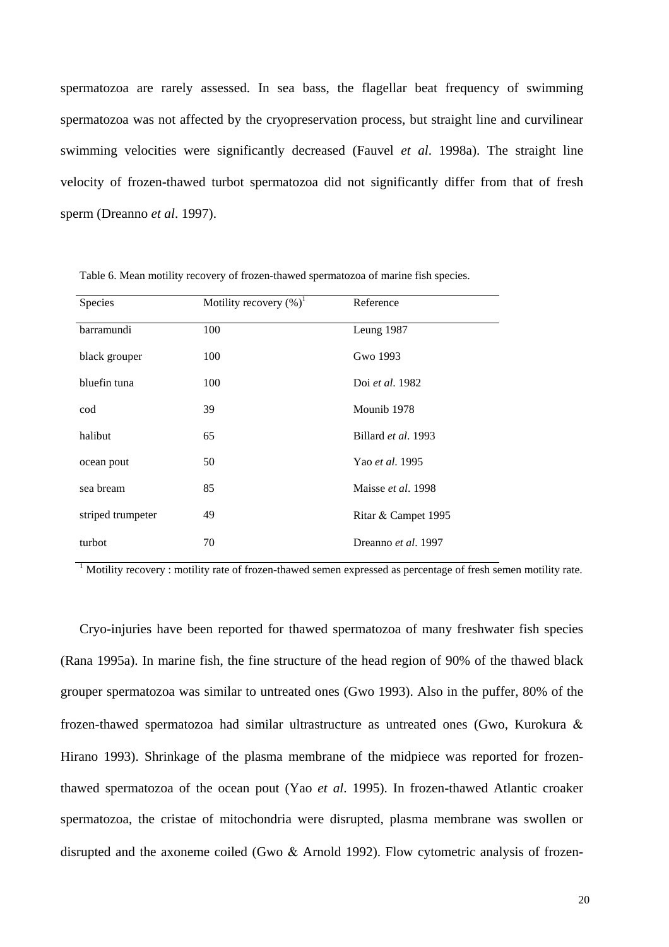spermatozoa are rarely assessed. In sea bass, the flagellar beat frequency of swimming spermatozoa was not affected by the cryopreservation process, but straight line and curvilinear swimming velocities were significantly decreased (Fauvel *et al*. 1998a). The straight line velocity of frozen-thawed turbot spermatozoa did not significantly differ from that of fresh sperm (Dreanno *et al*. 1997).

| Species           | Motility recovery $(\%)^1$ | Reference           |
|-------------------|----------------------------|---------------------|
| barramundi        | 100                        | Leung 1987          |
| black grouper     | 100                        | Gwo 1993            |
| bluefin tuna      | 100                        | Doi et al. 1982     |
| cod               | 39                         | Mounib 1978         |
| halibut           | 65                         | Billard et al. 1993 |
| ocean pout        | 50                         | Yao et al. 1995     |
| sea bream         | 85                         | Maisse et al. 1998  |
| striped trumpeter | 49                         | Ritar & Campet 1995 |
| turbot            | 70                         | Dreanno et al. 1997 |

Table 6. Mean motility recovery of frozen-thawed spermatozoa of marine fish species.

<sup>1</sup> Motility recovery : motility rate of frozen-thawed semen expressed as percentage of fresh semen motility rate.

 Cryo-injuries have been reported for thawed spermatozoa of many freshwater fish species (Rana 1995a). In marine fish, the fine structure of the head region of 90% of the thawed black grouper spermatozoa was similar to untreated ones (Gwo 1993). Also in the puffer, 80% of the frozen-thawed spermatozoa had similar ultrastructure as untreated ones (Gwo, Kurokura & Hirano 1993). Shrinkage of the plasma membrane of the midpiece was reported for frozenthawed spermatozoa of the ocean pout (Yao *et al*. 1995). In frozen-thawed Atlantic croaker spermatozoa, the cristae of mitochondria were disrupted, plasma membrane was swollen or disrupted and the axoneme coiled (Gwo & Arnold 1992). Flow cytometric analysis of frozen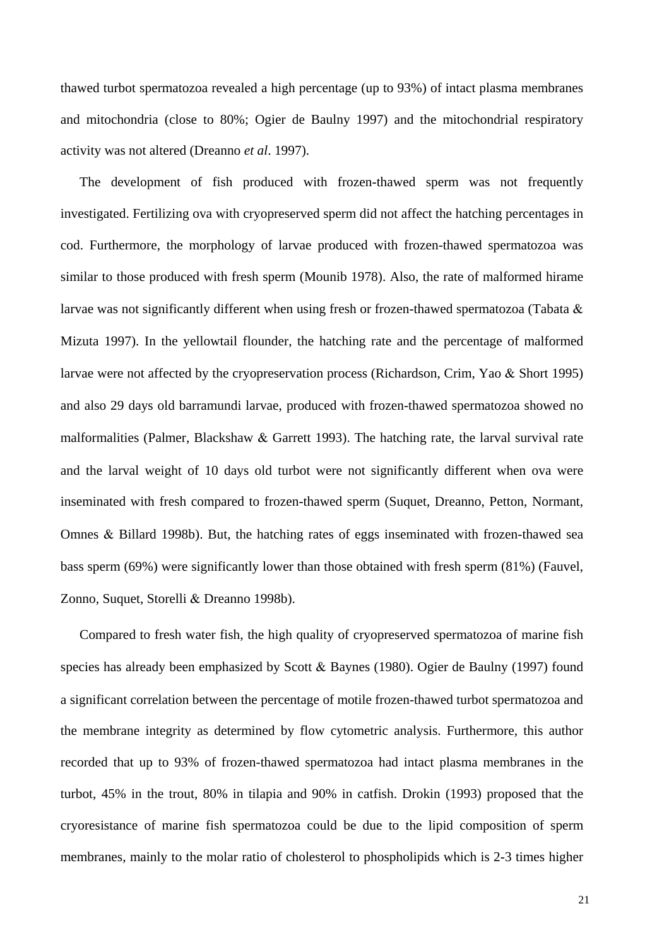thawed turbot spermatozoa revealed a high percentage (up to 93%) of intact plasma membranes and mitochondria (close to 80%; Ogier de Baulny 1997) and the mitochondrial respiratory activity was not altered (Dreanno *et al*. 1997).

 The development of fish produced with frozen-thawed sperm was not frequently investigated. Fertilizing ova with cryopreserved sperm did not affect the hatching percentages in cod. Furthermore, the morphology of larvae produced with frozen-thawed spermatozoa was similar to those produced with fresh sperm (Mounib 1978). Also, the rate of malformed hirame larvae was not significantly different when using fresh or frozen-thawed spermatozoa (Tabata & Mizuta 1997). In the yellowtail flounder, the hatching rate and the percentage of malformed larvae were not affected by the cryopreservation process (Richardson, Crim, Yao & Short 1995) and also 29 days old barramundi larvae, produced with frozen-thawed spermatozoa showed no malformalities (Palmer, Blackshaw & Garrett 1993). The hatching rate, the larval survival rate and the larval weight of 10 days old turbot were not significantly different when ova were inseminated with fresh compared to frozen-thawed sperm (Suquet, Dreanno, Petton, Normant, Omnes & Billard 1998b). But, the hatching rates of eggs inseminated with frozen-thawed sea bass sperm (69%) were significantly lower than those obtained with fresh sperm (81%) (Fauvel, Zonno, Suquet, Storelli & Dreanno 1998b).

 Compared to fresh water fish, the high quality of cryopreserved spermatozoa of marine fish species has already been emphasized by Scott & Baynes (1980). Ogier de Baulny (1997) found a significant correlation between the percentage of motile frozen-thawed turbot spermatozoa and the membrane integrity as determined by flow cytometric analysis. Furthermore, this author recorded that up to 93% of frozen-thawed spermatozoa had intact plasma membranes in the turbot, 45% in the trout, 80% in tilapia and 90% in catfish. Drokin (1993) proposed that the cryoresistance of marine fish spermatozoa could be due to the lipid composition of sperm membranes, mainly to the molar ratio of cholesterol to phospholipids which is 2-3 times higher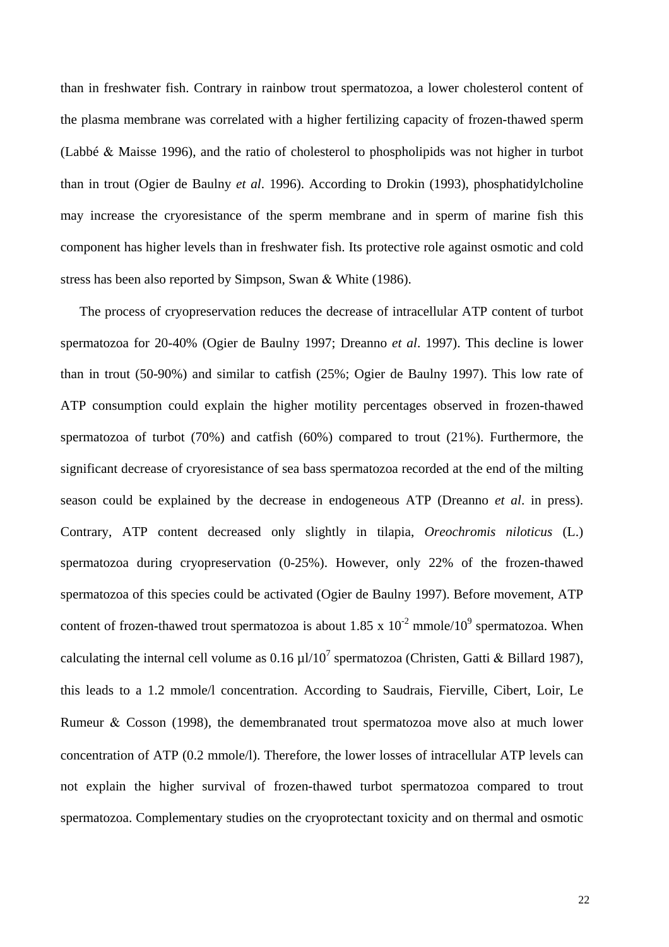than in freshwater fish. Contrary in rainbow trout spermatozoa, a lower cholesterol content of the plasma membrane was correlated with a higher fertilizing capacity of frozen-thawed sperm (Labbé & Maisse 1996), and the ratio of cholesterol to phospholipids was not higher in turbot than in trout (Ogier de Baulny *et al*. 1996). According to Drokin (1993), phosphatidylcholine may increase the cryoresistance of the sperm membrane and in sperm of marine fish this component has higher levels than in freshwater fish. Its protective role against osmotic and cold stress has been also reported by Simpson*,* Swan & White (1986).

 The process of cryopreservation reduces the decrease of intracellular ATP content of turbot spermatozoa for 20-40% (Ogier de Baulny 1997; Dreanno *et al*. 1997). This decline is lower than in trout (50-90%) and similar to catfish (25%; Ogier de Baulny 1997). This low rate of ATP consumption could explain the higher motility percentages observed in frozen-thawed spermatozoa of turbot (70%) and catfish (60%) compared to trout (21%). Furthermore, the significant decrease of cryoresistance of sea bass spermatozoa recorded at the end of the milting season could be explained by the decrease in endogeneous ATP (Dreanno *et al*. in press). Contrary, ATP content decreased only slightly in tilapia, *Oreochromis niloticus* (L.) spermatozoa during cryopreservation (0-25%). However, only 22% of the frozen-thawed spermatozoa of this species could be activated (Ogier de Baulny 1997). Before movement, ATP content of frozen-thawed trout spermatozoa is about 1.85 x  $10^{-2}$  mmole/ $10^{9}$  spermatozoa. When calculating the internal cell volume as  $0.16 \mu$ l/ $10^7$  spermatozoa (Christen, Gatti & Billard 1987), this leads to a 1.2 mmole/l concentration. According to Saudrais, Fierville, Cibert, Loir, Le Rumeur & Cosson (1998), the demembranated trout spermatozoa move also at much lower concentration of ATP (0.2 mmole/l). Therefore, the lower losses of intracellular ATP levels can not explain the higher survival of frozen-thawed turbot spermatozoa compared to trout spermatozoa. Complementary studies on the cryoprotectant toxicity and on thermal and osmotic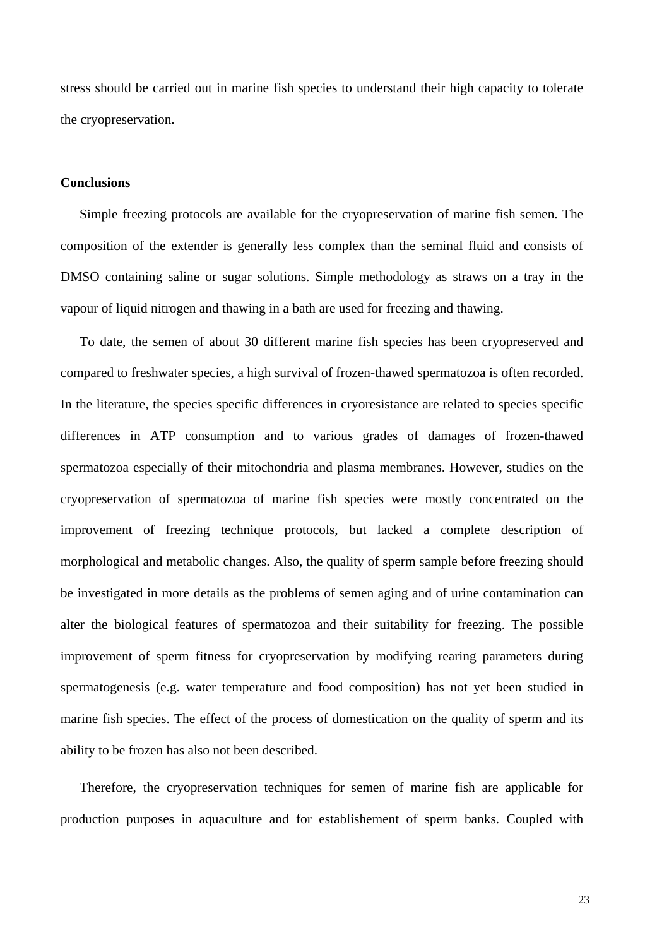stress should be carried out in marine fish species to understand their high capacity to tolerate the cryopreservation.

# **Conclusions**

 Simple freezing protocols are available for the cryopreservation of marine fish semen. The composition of the extender is generally less complex than the seminal fluid and consists of DMSO containing saline or sugar solutions. Simple methodology as straws on a tray in the vapour of liquid nitrogen and thawing in a bath are used for freezing and thawing.

 To date, the semen of about 30 different marine fish species has been cryopreserved and compared to freshwater species, a high survival of frozen-thawed spermatozoa is often recorded. In the literature, the species specific differences in cryoresistance are related to species specific differences in ATP consumption and to various grades of damages of frozen-thawed spermatozoa especially of their mitochondria and plasma membranes. However, studies on the cryopreservation of spermatozoa of marine fish species were mostly concentrated on the improvement of freezing technique protocols, but lacked a complete description of morphological and metabolic changes. Also, the quality of sperm sample before freezing should be investigated in more details as the problems of semen aging and of urine contamination can alter the biological features of spermatozoa and their suitability for freezing. The possible improvement of sperm fitness for cryopreservation by modifying rearing parameters during spermatogenesis (e.g. water temperature and food composition) has not yet been studied in marine fish species. The effect of the process of domestication on the quality of sperm and its ability to be frozen has also not been described.

 Therefore, the cryopreservation techniques for semen of marine fish are applicable for production purposes in aquaculture and for establishement of sperm banks. Coupled with

23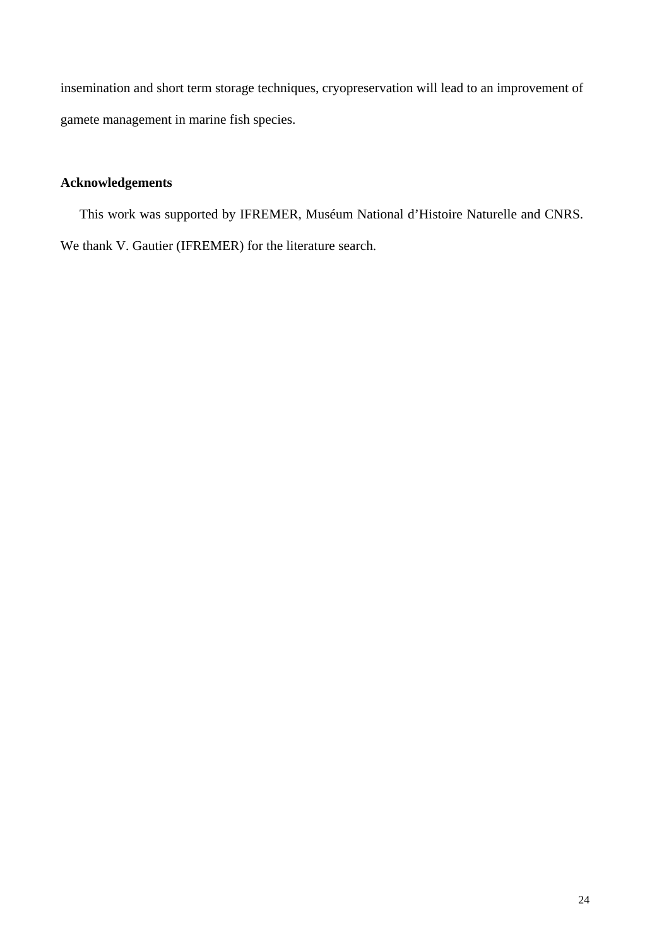insemination and short term storage techniques, cryopreservation will lead to an improvement of gamete management in marine fish species.

# **Acknowledgements**

 This work was supported by IFREMER, Muséum National d'Histoire Naturelle and CNRS. We thank V. Gautier (IFREMER) for the literature search.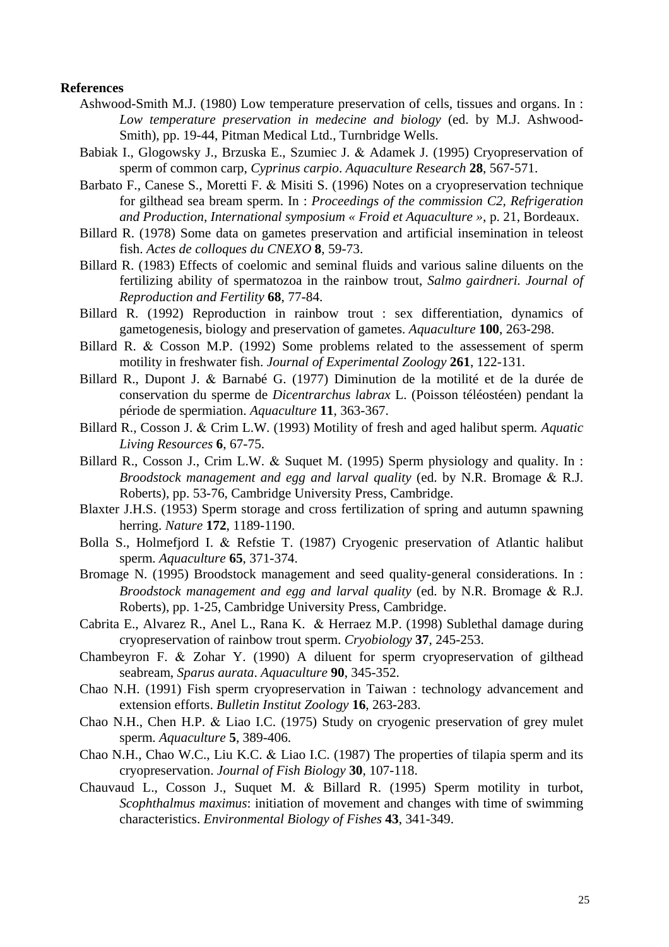#### **References**

- Ashwood-Smith M.J. (1980) Low temperature preservation of cells, tissues and organs. In : *Low temperature preservation in medecine and biology* (ed. by M.J. Ashwood-Smith), pp. 19-44, Pitman Medical Ltd., Turnbridge Wells.
- Babiak I., Glogowsky J., Brzuska E., Szumiec J. & Adamek J. (1995) Cryopreservation of sperm of common carp, *Cyprinus carpio*. *Aquaculture Research* **28**, 567-571.
- Barbato F., Canese S., Moretti F. & Misiti S. (1996) Notes on a cryopreservation technique for gilthead sea bream sperm. In : *Proceedings of the commission C2, Refrigeration and Production, International symposium « Froid et Aquaculture », p. 21, Bordeaux.*
- Billard R. (1978) Some data on gametes preservation and artificial insemination in teleost fish. *Actes de colloques du CNEXO* **8**, 59-73.
- Billard R. (1983) Effects of coelomic and seminal fluids and various saline diluents on the fertilizing ability of spermatozoa in the rainbow trout, *Salmo gairdneri. Journal of Reproduction and Fertility* **68**, 77-84.
- Billard R. (1992) Reproduction in rainbow trout : sex differentiation, dynamics of gametogenesis, biology and preservation of gametes. *Aquaculture* **100**, 263-298.
- Billard R. & Cosson M.P. (1992) Some problems related to the assessement of sperm motility in freshwater fish. *Journal of Experimental Zoology* **261**, 122-131.
- Billard R., Dupont J. & Barnabé G. (1977) Diminution de la motilité et de la durée de conservation du sperme de *Dicentrarchus labrax* L. (Poisson téléostéen) pendant la période de spermiation. *Aquaculture* **11**, 363-367.
- Billard R., Cosson J. & Crim L.W. (1993) Motility of fresh and aged halibut sperm*. Aquatic Living Resources* **6**, 67-75.
- Billard R., Cosson J., Crim L.W. & Suquet M. (1995) Sperm physiology and quality. In : *Broodstock management and egg and larval quality* (ed. by N.R. Bromage & R.J. Roberts), pp. 53-76, Cambridge University Press, Cambridge.
- Blaxter J.H.S. (1953) Sperm storage and cross fertilization of spring and autumn spawning herring. *Nature* **172**, 1189-1190.
- Bolla S., Holmefjord I. & Refstie T. (1987) Cryogenic preservation of Atlantic halibut sperm. *Aquaculture* **65**, 371-374.
- Bromage N. (1995) Broodstock management and seed quality-general considerations. In : *Broodstock management and egg and larval quality* (ed. by N.R. Bromage & R.J. Roberts), pp. 1-25, Cambridge University Press, Cambridge.
- Cabrita E., Alvarez R., Anel L., Rana K. & Herraez M.P. (1998) Sublethal damage during cryopreservation of rainbow trout sperm. *Cryobiology* **37**, 245-253.
- Chambeyron F. & Zohar Y. (1990) A diluent for sperm cryopreservation of gilthead seabream, *Sparus aurata*. *Aquaculture* **90**, 345-352.
- Chao N.H. (1991) Fish sperm cryopreservation in Taiwan : technology advancement and extension efforts. *Bulletin Institut Zoology* **16**, 263-283.
- Chao N.H., Chen H.P. & Liao I.C. (1975) Study on cryogenic preservation of grey mulet sperm. *Aquaculture* **5**, 389-406.
- Chao N.H., Chao W.C., Liu K.C. & Liao I.C. (1987) The properties of tilapia sperm and its cryopreservation. *Journal of Fish Biology* **30**, 107-118.
- Chauvaud L., Cosson J., Suquet M. & Billard R. (1995) Sperm motility in turbot, *Scophthalmus maximus*: initiation of movement and changes with time of swimming characteristics. *Environmental Biology of Fishes* **43**, 341-349.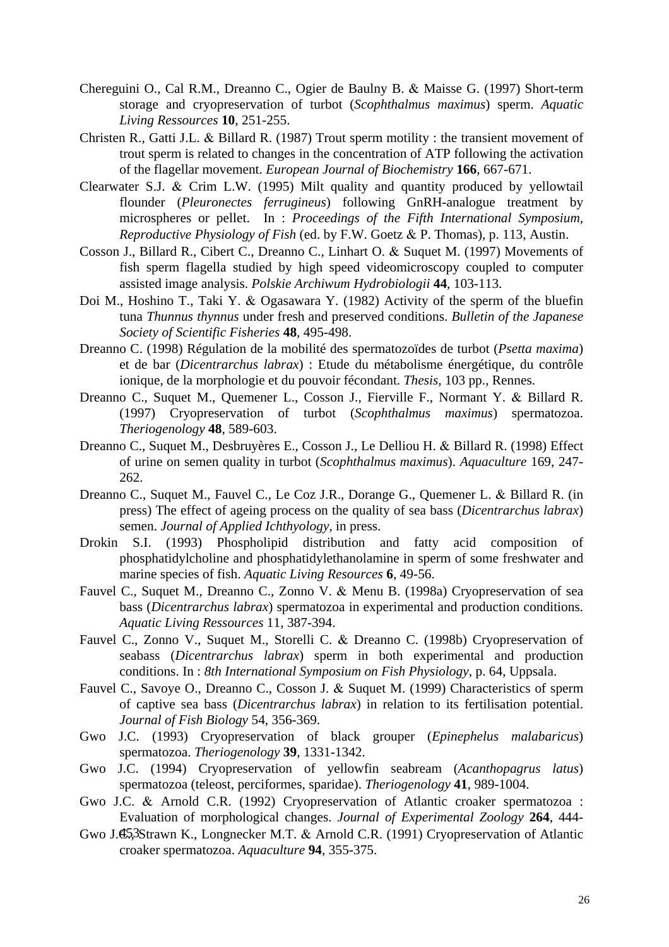- Chereguini O., Cal R.M., Dreanno C., Ogier de Baulny B. & Maisse G. (1997) Short-term storage and cryopreservation of turbot (*Scophthalmus maximus*) sperm. *Aquatic Living Ressources* **10**, 251-255.
- Christen R., Gatti J.L. & Billard R. (1987) Trout sperm motility : the transient movement of trout sperm is related to changes in the concentration of ATP following the activation of the flagellar movement. *European Journal of Biochemistry* **166**, 667-671.
- Clearwater S.J. & Crim L.W. (1995) Milt quality and quantity produced by yellowtail *Reproductive Physiology of Fish* (ed. by F.W. Goetz & P. Thomas), p. 113, Austin. flounder (*Pleuronectes ferrugineus*) following GnRH-analogue treatment by microspheres or pellet. In : *Proceedings of the Fifth International Symposium,*
- *ydrobiologii* **44**, 103-113. assisted image analysis. *Polskie Archiwum H* Cosson J., Billard R., Cibert C., Dreanno C., Linhart O. & Suquet M. (1997) Movements of fish sperm flagella studied by high speed videomicroscopy coupled to computer
- Doi M., Hoshino T., Taki Y. & Ogasawara Y. (1982) Activity of the sperm of the bluefin tuna *Thunnus thynnus* under fresh and preserved conditions. *Bulletin of the Japanese Society of Scientific Fisheries* **48**, 495-498.
- ionique, de la morphologie et du pouvoir fécondant. *Thesis*, 103 pp., Rennes. Dreanno C. (1998) Régulation de la mobilité des spermatozoïdes de turbot (*Psetta maxima*) et de bar (*Dicentrarchus labrax*) : Etude du métabolisme énergétique, du contrôle
- *ogenology* **48**, 589-603. *Theri* Dreanno C., Suquet M., Quemener L., Cosson J., Fierville F., Normant Y. & Billard R. (1997) Cryopreservation of turbot (*Scophthalmus maximus*) spermatozoa.
- Dreanno C., Suquet M., Desbruyères E., Cosson J., Le Delliou H. & Billard R. (1998) Effect of urine on semen quality in turbot (*Scophthalmus maximus*). *Aquaculture* 169, 247- 262.
- Dreanno C., Suquet M., Fauvel C., Le Coz J.R., Dorange G., Quemener L. & Billard R. (in press) The effect of ageing process on the quality of sea bass (*Dicentrarchus labrax*) semen. *Journal of Applied Ichthyology,* in press.
- Drokin S.I. (1993) Phospholipid distribution and fatty acid composition of phosphatidylcholine and phosphatidylethanolamine in sperm of some freshwater and marine species of fish. *Aquatic Living Resources* **6**, 49-56.
- Fauvel C., Suquet M., Dreanno C., Zonno V. & Menu B. (1998a) Cryopreservation of sea bass (*Dicentrarchus labrax*) spermatozoa in experimental and production conditions. *Aquatic Living Ressources* 11, 387-394.
- Fauvel C., Zonno V., Suquet M., Storelli C. & Dreanno C. (1998b) Cryopreservation of seabass (*Dicentrarchus labrax*) sperm in both experimental and production conditions. In : *8th International Symposium on Fish Physiology*, p. 64, Uppsala.
- Fauvel C., Savoye O., Dreanno C., Cosson J. & Suquet M. (1999) Characteristics of sperm of captive sea bass (*Dicentrarchus labrax*) in relation to its fertilisation potential. *Journal of Fish Biology* 54, 356-369.
- Gwo J.C. (1993) Cryopreservation of black grouper (*Epinephelus malabaricus*) spermatozoa. *Theriogenology* **39**, 1331-1342.
- Gwo J.C. (1994) Cryopreservation of yellowfin seabream (*Acanthopagrus latus*) spermatozoa (teleost, perciformes, sparidae). *Theriogenology* **41**, 989-1004.
- Gwo J.C. & Arnold C.R. (1992) Cryopreservation of Atlantic croaker spermatozoa : Evaluation of morphological changes. *Journal of Experimental Zoology* **264**, 444-
- Gwo J.C., Strawn K., Longnecker M.T. & Arnold C.R. (1991) Cryopreservation of Atlantic croaker spermatozoa. *Aquaculture* **94**, 355-375.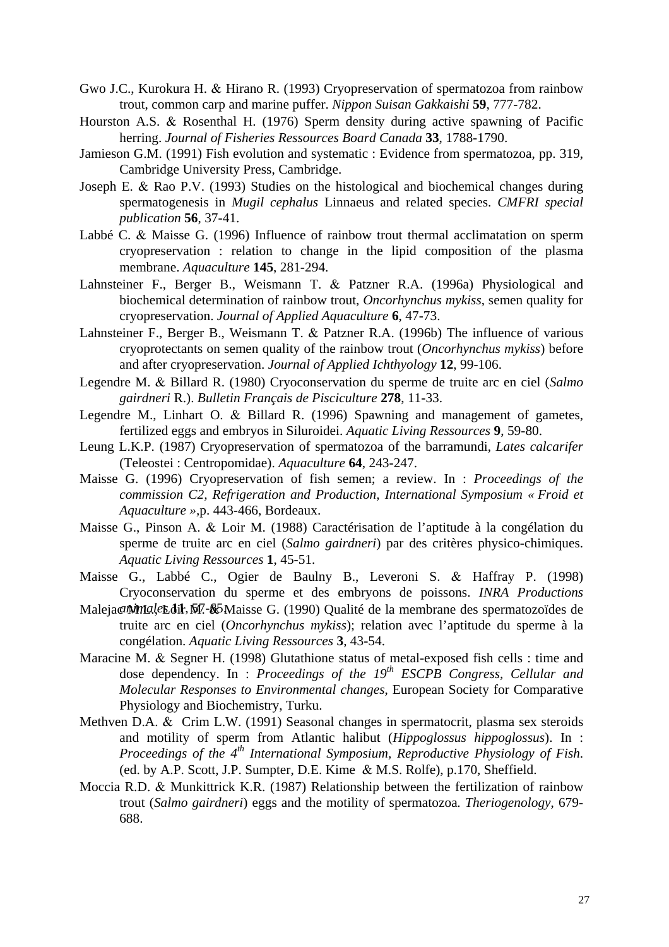- Gwo J.C., Kurokura H. & Hirano R. (1993) Cryopreservation of spermatozoa from rainbow trout, common carp and marine puffer. *Nippon Suisan Gakkaishi* **59**, 777-782.
- herring. Journal of Fisheries Ressources Board Canada 33, 1788-1790. Hourston A.S. & Rosenthal H. (1976) Sperm density during active spawning of Pacific
- Jamieson G.M. (1991) Fish evolution and systematic : Evidence from spermatozoa, pp. 319, Cambridge University Press, Cambridge.
- Joseph E. & Rao P.V. (1993) Studies on the histological and biochemical changes during spermatogenesis in *Mugil cephalus* Linnaeus and related species. *CMFRI special publication* **56**, 37-41.
- Labbé C. & Maisse G. (1996) Influence of rainbow trout thermal acclimatation on sperm cryopreservation : relation to change in the lipid composition of the plasma membrane. *Aquaculture* **145**, 281-294.
- Lahnsteiner F., Berger B., Weismann T. & Patzner R.A. (1996a) Physiological and biochemical determination of rainbow trout, *Oncorhynchus mykiss*, semen quality for cryopreservation. *Journal of Applied Aquaculture* **6**, 47-73.
- Lahnsteiner F., Berger B., Weismann T. & Patzner R.A. (1996b) The influence of various and after cryopreservation. *Journal of Applied Ichthyology* 12, 99-106. cryoprotectants on semen quality of the rainbow trout (*Oncorhynchus mykiss*) before
- Legendre M. & Billard R. (1980) Cryoconservation du sperme de truite arc en ciel (*Salmo gairdneri* R.). *Bulletin Français de Pisciculture* **278**, 11-33.
- Legendre M., Linhart O. & Billard R. (1996) Spawning and management of gametes, fertilized eggs and embryos in Siluroidei. *Aquatic Living Ressources* **9**, 59-80.
- Leung L.K.P. (1987) Cryopreservation of spermatozoa of the barramundi, *Lates calcarifer* (Teleostei : Centropomidae). *Aquaculture* **64**, 243-247.
- Maisse G. (1996) Cryopreservation of fish semen; a review. In : *Proceedings of the commission C2, Refrigeration and Production, International Symposium « Froid et Aquaculture »,*p. 443-466, Bordeaux.
- Maisse G., Pinson A. & Loir M. (1988) Caractérisation de l'aptitude à la congélation du sperme de truite arc en ciel (*Salmo gairdneri*) par des critères physico-chimiques. *Aquatic Living Ressources* **1**, 45-51.
- Maisse G., Labbé C., Ogier de Baulny B., Leveroni S. & Haffray P. (1998) Cryoconservation du sperme et des embryons de poissons. *INRA Productions*
- Maleja *c Minales* dit, M. **65** Maisse G. (1990) Qualité de la membrane des spermatozoïdes de truite arc en ciel (*Oncorhynchus mykiss*); relation avec l'aptitude du sperme à la congélation. *Aquatic Living Ressources* **3**, 43-54.
- Maracine M. & Segner H. (1998) Glutathione status of metal-exposed fish cells : time and dose dependency. In : *Proceedings of the 19th ESCPB Congress, Cellular and Molecular Responses to Environmental changes*, European Society for Comparative Physiology and Biochemistry, Turku.
- Methven D.A. & Crim L.W. (1991) Seasonal changes in spermatocrit, plasma sex steroids and motility of sperm from Atlantic halibut (*Hippoglossus hippoglossus*). In : *Proceedings of the 4<sup>th</sup> International Symposium, Reproductive Physiology of Fish.* (ed. by A.P. Scott, J.P. Sumpter, D.E. Kime & M.S. Rolfe), p.170, Sheffield.
- Moccia R.D. & Munkittrick K.R. (1987) Relationship between the fertilization of rainbow trout (*Salmo gairdneri*) eggs and the motility of spermatozoa*. Theriogenology*, 679- 688.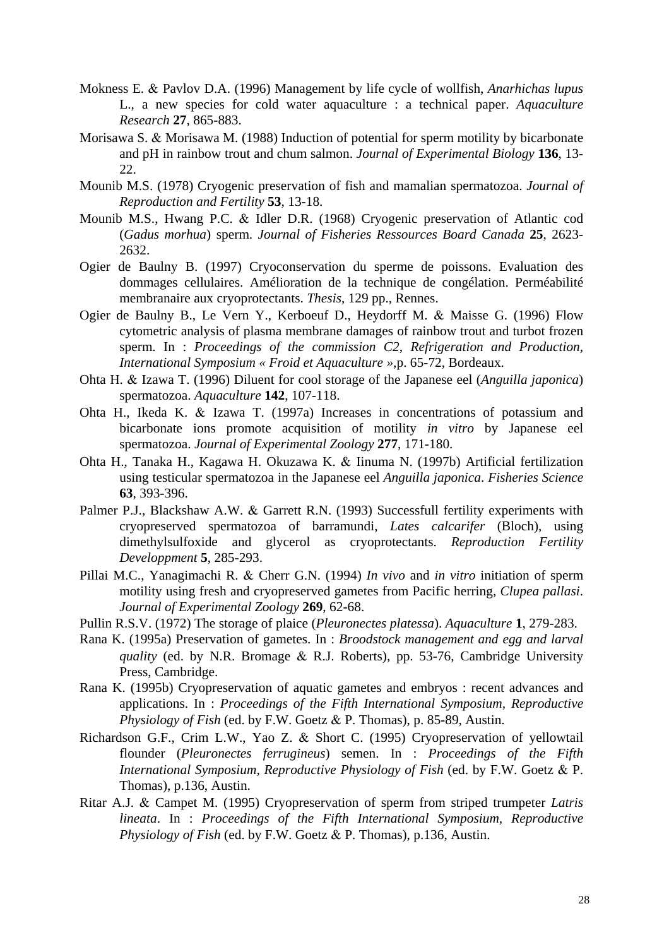- Mokness E. & Pavlov D.A. (1996) Management by life cycle of wollfish, *Anarhichas lupus* L., a new species for cold water aquaculture : a technical paper. *Aquaculture Research* **27**, 865-883.
- and pH in rainbow trout and chum salmon. Journal of Experimental Biology 136, 13-Morisawa S. & Morisawa M. (1988) Induction of potential for sperm motility by bicarbonate 22.
- Mounib M.S. (1978) Cryogenic preservation of fish and mamalian spermatozoa. *Journal of uction and Fertility* **53**, 13-18. *Reprod*
- Mounib M.S., Hwang P.C. & Idler D.R. (1968) Cryogenic preservation of Atlantic cod (*Gadus morhua*) sperm. *Journal of Fisheries Ressources Board Canada* **25**, 2623- 2632.
- Ogier de Baulny B. (1997) Cryoconservation du sperme de poissons. Evaluation des dommages cellulaires. Amélioration de la technique de congélation. Perméabilité membranaire aux cryoprotectants. *Thesis*, 129 pp., Rennes.
- Ogier de Baulny B., Le Vern Y., Kerboeuf D., Heydorff M. & Maisse G. (1996) Flow sperm. In : *Proceedings of the commission C2, Refrigeration and Production,* cytometric analysis of plasma membrane damages of rainbow trout and turbot frozen *International Symposium « Froid et Aquaculture »,*p. 65-72, Bordeaux.
- Ohta H . & Izawa T. (1996) Diluent for cool storage of the Japanese eel (*Anguilla japonica*) spermatozoa. *Aquaculture* **142**, 107-118.
- *Journal of Experimental Zoology* **277**, 171-180. spermatozoa. Ohta H., Ikeda K. & Izawa T. (1997a) Increases in concentrations of potassium and bicarbonate ions promote acquisition of motility *in vitro* by Japanese eel
- Ohta H., Tanaka H., Kagawa H. Okuzawa K. & Iinuma N. (1997b) Artificial fertilization using testicular spermatozoa in the Japanese eel *Anguilla japonica*. *Fisheries Science* **63**, 393-396.
- Palmer P.J., Blackshaw A.W. & Garrett R.N. (1993) Successfull fertility experiments with cryopreserved spermatozoa of barramundi, *Lates calcarifer* (Bloch), using dimethylsulfoxide and glycerol as cryoprotectants. *Reproduction Fertility Developpment* **5**, 285-293.
- Pillai M.C., Yanagimachi R. & Cherr G.N. (1994) *In vivo* and *in vitro* initiation of sperm motility using fresh and cryopreserved gametes from Pacific herring, *Clupea pallasi*. *Journal of Experimental Zoology* **269**, 62-68.
- Pullin R.S.V. (1972) The storage of plaice (*Pleuronectes platessa*). *Aquaculture* **1**, 279-283.
- Rana K. (1995a) Preservation of gametes. In : *Broodstock management and egg and larval quality* (ed. by N.R. Bromage & R.J. Roberts), pp. 53-76, Cambridge University Press, Cambridge.
- Rana K. (1995b) Cryopreservation of aquatic gametes and embryos : recent advances and applications. In : *Proceedings of the Fifth International Symposium, Reproductive Physiology of Fish* (ed. by F.W. Goetz & P. Thomas), p. 85-89, Austin.
- Richardson G.F., Crim L.W., Yao Z. & Short C. (1995) Cryopreservation of yellowtail flounder (*Pleuronectes ferrugineus*) semen. In : *Proceedings of the Fifth International Symposium, Reproductive Physiology of Fish* (ed. by F.W. Goetz & P. Thomas), p.136, Austin.
- Ritar A.J. & Campet M. (1995) Cryopreservation of sperm from striped trumpeter *Latris lineata*. In : *Proceedings of the Fifth International Symposium, Reproductive Physiology of Fish* (ed. by F.W. Goetz & P. Thomas), p.136, Austin.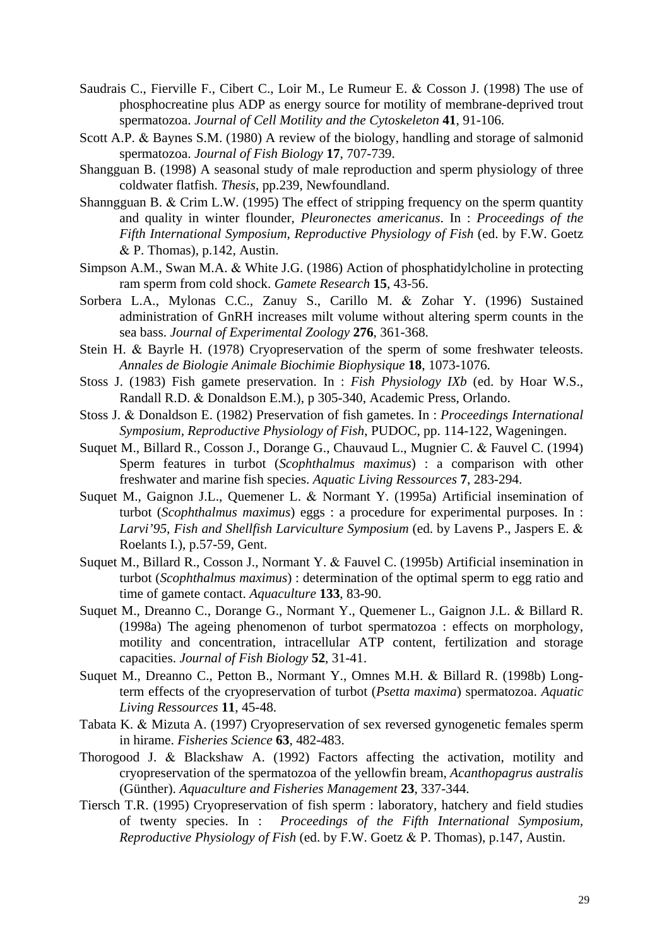- Saudrais C., Fierville F., Cibert C., Loir M., Le Rumeur E. & Cosson J. (1998) The use of phosphocreatine plus ADP as energy source for motility of membrane-deprived trout spermatozoa. *Journal of Cell Motility and the Cytoskeleton* **41**, 91-106.
- Scott A .P. & Baynes S.M. (1980) A review of the biology, handling and storage of salmonid spermatozoa. *Journal of Fish Biology* **17**, 707-739.
- Shangguan B. (1998) A seasonal study of male reproduction and sperm physiology of three coldwater flatfish. *Thesis*, pp.239, Newfoundland.
- Shanng guan B. & Crim L.W. (1995) The effect of stripping frequency on the sperm quantity and quality in winter flounder, *Pleuronectes americanus*. In : *Proceedings of the Fifth International Symposium, Reproductive Physiology of Fish* (ed. by F.W. Goetz & P. Thomas), p.142, Austin.
- Simpson A.M., Swan M.A. & White J.G. (1986) Action of phosphatidylcholine in protecting ram sperm from cold shock. *Gamete Research* **15**, 43-56.
- administration of GnRH increases milt volume without altering sperm counts in the Sorbera L.A., Mylonas C.C., Zanuy S., Carillo M. & Zohar Y. (1996) Sustained sea bass. *Journal of Experimental Zoology* **276**, 361-368.
- Stein H. & Bayrle H. (1978) Cryopreservation of the sperm of some freshwater teleosts. *Annales de Biologie Animale Biochimie Biophysique* **18**, 1073-1076.
- Stoss J . (1983) Fish gamete preservation. In : *Fish Physiology IXb* (ed. by Hoar W.S., Randall R.D. & Donaldson E.M.), p 305-340, Academic Press, Orlando.
- Stoss J. & Donaldson E. (1982) Preservation of fish gametes. In : *Proceedings International Symposium, Reproductive Physiology of Fish*, PUDOC, pp. 114-122, Wageningen.
- Suquet M., Billard R., Cosson J., Dorange G., Chauvaud L., Mugnier C. & Fauvel C. (1994) Sperm features in turbot (Scophthalmus maximus) : a comparison with other freshwater and marine fish species. *Aquatic Living Ressources* **7**, 283-294.
- Suquet M., Gaignon J.L., Quemener L. & Normant Y. (1995a) Artificial insemination of turbot (*Scophthalmus maximus*) eggs : a procedure for experimental purposes. In : *Larvi'95, Fish and Shellfish Larviculture Symposium* (ed. by Lavens P., Jaspers E. & Roelants I.), p.57-59, Gent.
- Suquet M., Billard R., Cosson J., Normant Y. & Fauvel C. (1995b) Artificial insemination in turbot (*Scophthalmus maximus*) : determination of the optimal sperm to egg ratio and time of gamete contact. *Aquaculture* **133**, 83-90.
- Suquet M., Dreanno C., Dorange G., Normant Y., Quemener L., Gaignon J.L. & Billard R. (1998a) The ageing phenomenon of turbot spermatozoa : effects on morphology, motility and concentration, intracellular ATP content, fertilization and storage capacities. *Journal of Fish Biology* **52**, 31-41.
- Suquet M., Dreanno C., Petton B., Normant Y., Omnes M.H. & Billard R. (1998b) Longterm effects of the cryopreservation of turbot (*Psetta maxima*) spermatozoa. *Aquatic Living Ressources* **11**, 45-48.
- Tabata K. & Mizuta A. (1997) Cryopreservation of sex reversed gynogenetic females sperm in hirame. *Fisheries Science* **63**, 482-483.
- Thorogood J. & Blackshaw A. (1992) Factors affecting the activation, motility and cryopreservation of the spermatozoa of the yellowfin bream, *Acanthopagrus australis* (Günther). *Aquaculture and Fisheries Management* **23**, 337-344.
- Tiersch T.R. (1995) Cryopreservation of fish sperm : laboratory, hatchery and field studies of twenty species. In : *Proceedings of the Fifth International Symposium, Reproductive Physiology of Fish* (ed. by F.W. Goetz & P. Thomas), p.147, Austin.